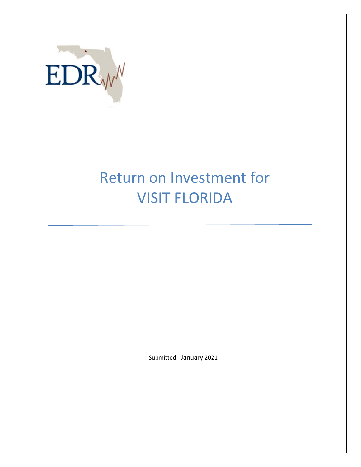

# Return on Investment for VISIT FLORIDA

Submitted: January 2021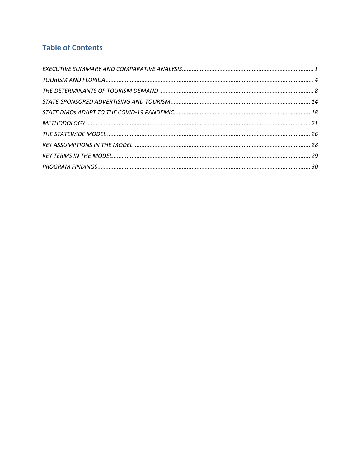# **Table of Contents**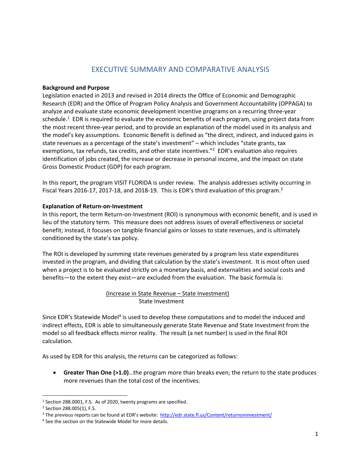## EXECUTIVE SUMMARY AND COMPARATIVE ANALYSIS

#### **Background and Purpose**

Legislation enacted in 2013 and revised in 2014 directs the Office of Economic and Demographic Research (EDR) and the Office of Program Policy Analysis and Government Accountability (OPPAGA) to analyze and evaluate state economic development incentive programs on a recurring three‐year schedule.<sup>1</sup> EDR is required to evaluate the economic benefits of each program, using project data from the most recent three‐year period, and to provide an explanation of the model used in its analysis and the model's key assumptions. Economic Benefit is defined as "the direct, indirect, and induced gains in state revenues as a percentage of the state's investment" – which includes "state grants, tax exemptions, tax refunds, tax credits, and other state incentives."<sup>2</sup> EDR's evaluation also requires identification of jobs created, the increase or decrease in personal income, and the impact on state Gross Domestic Product (GDP) for each program.

In this report, the program VISIT FLORIDA is under review. The analysis addresses activity occurring in Fiscal Years 2016-17, 2017-18, and 2018-19. This is EDR's third evaluation of this program.<sup>3</sup>

#### **Explanation of Return‐on‐Investment**

In this report, the term Return-on-Investment (ROI) is synonymous with economic benefit, and is used in lieu of the statutory term. This measure does not address issues of overall effectiveness or societal benefit; instead, it focuses on tangible financial gains or losses to state revenues, and is ultimately conditioned by the state's tax policy.

The ROI is developed by summing state revenues generated by a program less state expenditures invested in the program, and dividing that calculation by the state's investment. It is most often used when a project is to be evaluated strictly on a monetary basis, and externalities and social costs and benefits—to the extent they exist—are excluded from the evaluation. The basic formula is:

## (Increase in State Revenue – State Investment) State Investment

Since EDR's Statewide Model<sup>4</sup> is used to develop these computations and to model the induced and indirect effects, EDR is able to simultaneously generate State Revenue and State Investment from the model so all feedback effects mirror reality. The result (a net number) is used in the final ROI calculation.

As used by EDR for this analysis, the returns can be categorized as follows:

 **Greater Than One (>1.0)**…the program more than breaks even; the return to the state produces more revenues than the total cost of the incentives.

<sup>1</sup> Section 288.0001, F.S. As of 2020, twenty programs are specified.

<sup>2</sup> Section 288.005(1), F.S.

<sup>&</sup>lt;sup>3</sup> The previous reports can be found at EDR's website: http://edr.state.fl.us/Content/returnoninvestment/

<sup>4</sup> See the section on the Statewide Model for more details.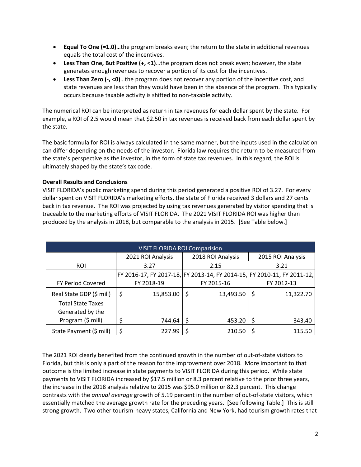- **Equal To One (=1.0)**…the program breaks even; the return to the state in additional revenues equals the total cost of the incentives.
- **Less Than One, But Positive (+, <1)**…the program does not break even; however, the state generates enough revenues to recover a portion of its cost for the incentives.
- **Less Than Zero (‐, <0)**…the program does not recover any portion of the incentive cost, and state revenues are less than they would have been in the absence of the program. This typically occurs because taxable activity is shifted to non‐taxable activity.

The numerical ROI can be interpreted as return in tax revenues for each dollar spent by the state. For example, a ROI of 2.5 would mean that \$2.50 in tax revenues is received back from each dollar spent by the state.

The basic formula for ROI is always calculated in the same manner, but the inputs used in the calculation can differ depending on the needs of the investor. Florida law requires the return to be measured from the state's perspective as the investor, in the form of state tax revenues. In this regard, the ROI is ultimately shaped by the state's tax code.

## **Overall Results and Conclusions**

VISIT FLORIDA's public marketing spend during this period generated a positive ROI of 3.27. For every dollar spent on VISIT FLORIDA's marketing efforts, the state of Florida received 3 dollars and 27 cents back in tax revenue. The ROI was projected by using tax revenues generated by visitor spending that is traceable to the marketing efforts of VISIT FLORIDA. The 2021 VISIT FLORIDA ROI was higher than produced by the analysis in 2018, but comparable to the analysis in 2015. [See Table below.]

| <b>VISIT FLORIDA ROI Comparision</b> |                                                                         |           |            |                   |            |                   |  |  |  |  |
|--------------------------------------|-------------------------------------------------------------------------|-----------|------------|-------------------|------------|-------------------|--|--|--|--|
|                                      | 2021 ROI Analysis                                                       |           |            | 2018 ROI Analysis |            | 2015 ROI Analysis |  |  |  |  |
| <b>ROI</b>                           | 3.27                                                                    |           | 2.15       |                   |            | 3.21              |  |  |  |  |
|                                      | FY 2016-17, FY 2017-18, FY 2013-14, FY 2014-15, FY 2010-11, FY 2011-12, |           |            |                   |            |                   |  |  |  |  |
| <b>FY Period Covered</b>             | FY 2018-19                                                              |           | FY 2015-16 |                   | FY 2012-13 |                   |  |  |  |  |
| Real State GDP (\$ mill)             | \$                                                                      | 15,853.00 | \$         | 13,493.50         | \$         | 11,322.70         |  |  |  |  |
| <b>Total State Taxes</b>             |                                                                         |           |            |                   |            |                   |  |  |  |  |
| Generated by the                     |                                                                         |           |            |                   |            |                   |  |  |  |  |
| Program (\$ mill)                    |                                                                         | 744.64    | S          | 453.20            | S          | 343.40            |  |  |  |  |
| State Payment (\$ mill)              |                                                                         | 227.99    |            | 210.50            |            | 115.50            |  |  |  |  |

The 2021 ROI clearly benefited from the continued growth in the number of out‐of‐state visitors to Florida, but this is only a part of the reason for the improvement over 2018. More important to that outcome is the limited increase in state payments to VISIT FLORIDA during this period. While state payments to VISIT FLORIDA increased by \$17.5 million or 8.3 percent relative to the prior three years, the increase in the 2018 analysis relative to 2015 was \$95.0 million or 82.3 percent. This change contrasts with the *annual average* growth of 5.19 percent in the number of out‐of‐state visitors, which essentially matched the average growth rate for the preceding years. [See following Table.] This is still strong growth. Two other tourism‐heavy states, California and New York, had tourism growth rates that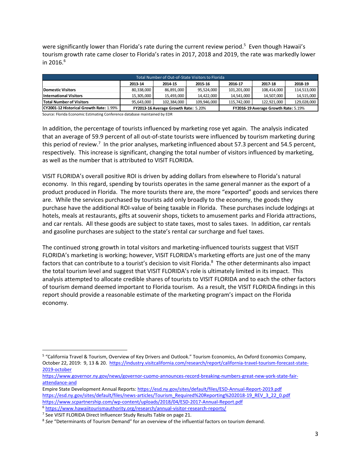were significantly lower than Florida's rate during the current review period.<sup>5</sup> Even though Hawaii's tourism growth rate came closer to Florida's rates in 2017, 2018 and 2019, the rate was markedly lower in 2016. $^6$ 

| Total Number of Out-of-State Visitors to Florida                                                                         |                                                                              |            |            |             |             |             |  |  |  |
|--------------------------------------------------------------------------------------------------------------------------|------------------------------------------------------------------------------|------------|------------|-------------|-------------|-------------|--|--|--|
|                                                                                                                          | 2018-19<br>2013-14<br>2015-16<br>2016-17<br>2017-18<br>2014-15               |            |            |             |             |             |  |  |  |
| <b>Domestic Visitors</b>                                                                                                 | 80,338,000                                                                   | 86,891,000 | 95,524,000 | 101,201,000 | 108,414,000 | 114,513,000 |  |  |  |
| <b>International Visitors</b>                                                                                            | 15.305.000                                                                   | 15.493.000 | 14.422.000 | 14,541,000  | 14,507,000  | 14,515,000  |  |  |  |
| <b>Total Number of Visitors</b><br>115,742,000<br>122.921.000<br>129,028,000<br>95.643.000<br>102,384,000<br>109,946,000 |                                                                              |            |            |             |             |             |  |  |  |
| CY2001-12 Historical Growth Rate: 1.99%                                                                                  | FY2013-16 Average Growth Rate: 5.20%<br>FY2016-19 Average Growth Rate: 5.19% |            |            |             |             |             |  |  |  |

Source: Florida Economic Estimating Conference database maintained by EDR

In addition, the percentage of tourists influenced by marketing rose yet again. The analysis indicated that an average of 59.9 percent of all out‐of‐state tourists were influenced by tourism marketing during this period of review.<sup>7</sup> In the prior analyses, marketing influenced about 57.3 percent and 54.5 percent, respectively. This increase is significant, changing the total number of visitors influenced by marketing, as well as the number that is attributed to VISIT FLORIDA.

VISIT FLORIDA's overall positive ROI is driven by adding dollars from elsewhere to Florida's natural economy. In this regard, spending by tourists operates in the same general manner as the export of a product produced in Florida. The more tourists there are, the more "exported" goods and services there are. While the services purchased by tourists add only broadly to the economy, the goods they purchase have the additional ROI‐value of being taxable in Florida. These purchases include lodgings at hotels, meals at restaurants, gifts at souvenir shops, tickets to amusement parks and Florida attractions, and car rentals. All these goods are subject to state taxes, most to sales taxes. In addition, car rentals and gasoline purchases are subject to the state's rental car surcharge and fuel taxes.

The continued strong growth in total visitors and marketing‐influenced tourists suggest that VISIT FLORIDA's marketing is working; however, VISIT FLORIDA's marketing efforts are just one of the many factors that can contribute to a tourist's decision to visit Florida.<sup>8</sup> The other determinants also impact the total tourism level and suggest that VISIT FLORIDA's role is ultimately limited in its impact. This analysis attempted to allocate credible shares of tourists to VISIT FLORIDA and to each the other factors of tourism demand deemed important to Florida tourism. As a result, the VISIT FLORIDA findings in this report should provide a reasonable estimate of the marketing program's impact on the Florida economy.

<sup>5</sup> "California Travel & Tourism, Overview of Key Drivers and Outlook." Tourism Economics, An Oxford Economics Company, October 22, 2019: 9, 13 & 20. https://industry.visitcalifornia.com/research/report/california-travel-tourism-forecast-state-2019‐october

https://www.governor.ny.gov/news/governor-cuomo-announces-record-breaking-numbers-great-new-york-state-fairattendance‐and

Empire State Development Annual Reports: https://esd.ny.gov/sites/default/files/ESD‐Annual‐Report‐2019.pdf https://esd.ny.gov/sites/default/files/news-articles/Tourism\_Required%20Reporting%202018-19\_REV\_3\_22\_0.pdf https://www.scpartnership.com/wp‐content/uploads/2018/04/ESD‐2017‐Annual‐Report.pdf

<sup>6</sup> https://www.hawaiitourismauthority.org/research/annual‐visitor‐research‐reports/

<sup>&</sup>lt;sup>7</sup> See VISIT FLORIDA Direct Influencer Study Results Table on page 21.

<sup>8</sup> *See* "Determinants of Tourism Demand" for an overview of the influential factors on tourism demand.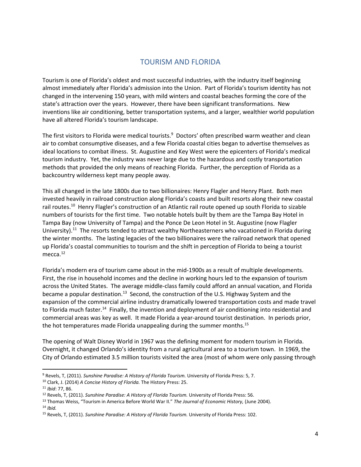## TOURISM AND FLORIDA

Tourism is one of Florida's oldest and most successful industries, with the industry itself beginning almost immediately after Florida's admission into the Union. Part of Florida's tourism identity has not changed in the intervening 150 years, with mild winters and coastal beaches forming the core of the state's attraction over the years. However, there have been significant transformations. New inventions like air conditioning, better transportation systems, and a larger, wealthier world population have all altered Florida's tourism landscape.

The first visitors to Florida were medical tourists.<sup>9</sup> Doctors' often prescribed warm weather and clean air to combat consumptive diseases, and a few Florida coastal cities began to advertise themselves as ideal locations to combat illness. St. Augustine and Key West were the epicenters of Florida's medical tourism industry. Yet, the industry was never large due to the hazardous and costly transportation methods that provided the only means of reaching Florida. Further, the perception of Florida as a backcountry wilderness kept many people away.

This all changed in the late 1800s due to two billionaires: Henry Flagler and Henry Plant. Both men invested heavily in railroad construction along Florida's coasts and built resorts along their new coastal rail routes.<sup>10</sup> Henry Flagler's construction of an Atlantic rail route opened up south Florida to sizable numbers of tourists for the first time. Two notable hotels built by them are the Tampa Bay Hotel in Tampa Bay (now University of Tampa) and the Ponce De Leon Hotel in St. Augustine (now Flagler University).<sup>11</sup> The resorts tended to attract wealthy Northeasterners who vacationed in Florida during the winter months. The lasting legacies of the two billionaires were the railroad network that opened up Florida's coastal communities to tourism and the shift in perception of Florida to being a tourist mecca.<sup>12</sup>

Florida's modern era of tourism came about in the mid‐1900s as a result of multiple developments. First, the rise in household incomes and the decline in working hours led to the expansion of tourism across the United States. The average middle‐class family could afford an annual vacation, and Florida became a popular destination.<sup>13</sup> Second, the construction of the U.S. Highway System and the expansion of the commercial airline industry dramatically lowered transportation costs and made travel to Florida much faster.<sup>14</sup> Finally, the invention and deployment of air conditioning into residential and commercial areas was key as well. It made Florida a year‐around tourist destination. In periods prior, the hot temperatures made Florida unappealing during the summer months.<sup>15</sup>

The opening of Walt Disney World in 1967 was the defining moment for modern tourism in Florida. Overnight, it changed Orlando's identity from a rural agricultural area to a tourism town. In 1969, the City of Orlando estimated 3.5 million tourists visited the area (most of whom were only passing through

<sup>9</sup> Revels, T, (2011). *Sunshine Paradise: A History of Florida Tourism.* University of Florida Press: 5, 7.

<sup>10</sup> Clark, J. (2014) *A Concise History of Florida.* The History Press: 25.

<sup>11</sup> *Ibid*: 77, 86.

<sup>12</sup> Revels, T, (2011). *Sunshine Paradise: A History of Florida Tourism.* University of Florida Press: 56.

<sup>13</sup> Thomas Weiss, "Tourism in America Before World War II." *The Journal of Economic History,* (June 2004).

<sup>14</sup> *Ibid.*

<sup>15</sup> Revels, T, (2011). *Sunshine Paradise: A History of Florida Tourism.* University of Florida Press: 102.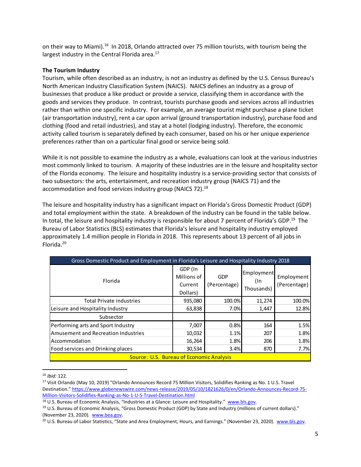on their way to Miami).<sup>16</sup> In 2018, Orlando attracted over 75 million tourists, with tourism being the largest industry in the Central Florida area.<sup>17</sup>

#### **The Tourism Industry**

Tourism, while often described as an industry, is not an industry as defined by the U.S. Census Bureau's North American Industry Classification System (NAICS). NAICS defines an industry as a group of businesses that produce a like product or provide a service, classifying them in accordance with the goods and services they produce. In contrast, tourists purchase goods and services across all industries rather than within one specific industry. For example, an average tourist might purchase a plane ticket (air transportation industry), rent a car upon arrival (ground transportation industry), purchase food and clothing (food and retail industries), and stay at a hotel (lodging industry). Therefore, the economic activity called tourism is separately defined by each consumer, based on his or her unique experience preferences rather than on a particular final good or service being sold.

While it is not possible to examine the industry as a whole, evaluations can look at the various industries most commonly linked to tourism. A majority of these industries are in the leisure and hospitality sector of the Florida economy. The leisure and hospitality industry is a service‐providing sector that consists of two subsectors: the arts, entertainment, and recreation industry group (NAICS 71) and the accommodation and food services industry group (NAICS 72).<sup>18</sup>

The leisure and hospitality industry has a significant impact on Florida's Gross Domestic Product (GDP) and total employment within the state. A breakdown of the industry can be found in the table below. In total, the leisure and hospitality industry is responsible for about 7 percent of Florida's GDP.19The Bureau of Labor Statistics (BLS) estimates that Florida's leisure and hospitality industry employed approximately 1.4 million people in Florida in 2018. This represents about 13 percent of all jobs in Florida.20

| Gross Domestic Product and Employment in Florida's Leisure and Hospitality Industry 2018 |                                               |                     |                                 |                            |  |  |  |  |
|------------------------------------------------------------------------------------------|-----------------------------------------------|---------------------|---------------------------------|----------------------------|--|--|--|--|
| Florida                                                                                  | GDP (In<br>Millions of<br>Current<br>Dollars) | GDP<br>(Percentage) | Employment<br>(In<br>Thousands) | Employment<br>(Percentage) |  |  |  |  |
| <b>Total Private industries</b>                                                          | 935,080                                       | 100.0%              | 11,274                          | 100.0%                     |  |  |  |  |
| Leisure and Hospitality Industry                                                         | 63,838                                        | 7.0%                | 1,447                           | 12.8%                      |  |  |  |  |
| Subsector                                                                                |                                               |                     |                                 |                            |  |  |  |  |
| Performing arts and Sport Industry                                                       | 7,007                                         | 0.8%                | 164                             | 1.5%                       |  |  |  |  |
| Amusement and Recreation Industries                                                      | 10,032                                        | 1.1%                | 207                             | 1.8%                       |  |  |  |  |
| <b>Accommodation</b>                                                                     | 16,264                                        | 1.8%                | 206                             | 1.8%                       |  |  |  |  |
| Food services and Drinking places                                                        | 30,534                                        | 3.4%                | 870                             | 7.7%                       |  |  |  |  |
| <b>Source: U.S. Bureau of Economic Analysis</b>                                          |                                               |                     |                                 |                            |  |  |  |  |

<sup>16</sup> *Ibid:* 122.

<sup>17</sup> Visit Orlando (May 10, 2019) "Orlando Announces Record 75 Million Visitors, Solidifies Ranking as No. 1 U.S. Travel Destination." https://www.globenewswire.com/news-release/2019/05/10/1821626/0/en/Orlando-Announces-Record-75-Million‐Visitors‐Solidifies‐Ranking‐as‐No‐1‐U‐S‐Travel‐Destination.html 

<sup>&</sup>lt;sup>18</sup> U.S. Bureau of Economic Analysis, "Industries at a Glance: Leisure and Hospitality." www.bls.gov.

<sup>19</sup> U.S. Bureau of Economic Analysis, "Gross Domestic Product (GDP) by State and Industry (millions of current dollars)." (November 23, 2020). www.bea.gov.

<sup>&</sup>lt;sup>20</sup> U.S. Bureau of Labor Statistics, "State and Area Employment, Hours, and Earnings." (November 23, 2020). www.bls.gov.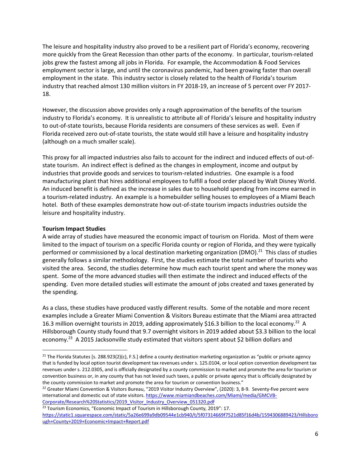The leisure and hospitality industry also proved to be a resilient part of Florida's economy, recovering more quickly from the Great Recession than other parts of the economy. In particular, tourism‐related jobs grew the fastest among all jobs in Florida. For example, the Accommodation & Food Services employment sector is large, and until the coronavirus pandemic, had been growing faster than overall employment in the state. This industry sector is closely related to the health of Florida's tourism industry that reached almost 130 million visitors in FY 2018‐19, an increase of 5 percent over FY 2017‐ 18.

However, the discussion above provides only a rough approximation of the benefits of the tourism industry to Florida's economy. It is unrealistic to attribute all of Florida's leisure and hospitality industry to out‐of‐state tourists, because Florida residents are consumers of these services as well. Even if Florida received zero out‐of‐state tourists, the state would still have a leisure and hospitality industry (although on a much smaller scale).

This proxy for all impacted industries also fails to account for the indirect and induced effects of out‐of‐ state tourism. An indirect effect is defined as the changes in employment, income and output by industries that provide goods and services to tourism-related industries. One example is a food manufacturing plant that hires additional employees to fulfill a food order placed by Walt Disney World. An induced benefit is defined as the increase in sales due to household spending from income earned in a tourism‐related industry. An example is a homebuilder selling houses to employees of a Miami Beach hotel. Both of these examples demonstrate how out‐of‐state tourism impacts industries outside the leisure and hospitality industry.

## **Tourism Impact Studies**

A wide array of studies have measured the economic impact of tourism on Florida. Most of them were limited to the impact of tourism on a specific Florida county or region of Florida, and they were typically performed or commissioned by a local destination marketing organization (DMO).<sup>21</sup> This class of studies generally follows a similar methodology. First, the studies estimate the total number of tourists who visited the area. Second, the studies determine how much each tourist spent and where the money was spent. Some of the more advanced studies will then estimate the indirect and induced effects of the spending. Even more detailed studies will estimate the amount of jobs created and taxes generated by the spending.

As a class, these studies have produced vastly different results. Some of the notable and more recent examples include a Greater Miami Convention & Visitors Bureau estimate that the Miami area attracted 16.3 million overnight tourists in 2019, adding approximately \$16.3 billion to the local economy.<sup>22</sup> A Hillsborough County study found that 9.7 overnight visitors in 2019 added about \$3.3 billion to the local economy.<sup>23</sup> A 2015 Jacksonville study estimated that visitors spent about \$2 billion dollars and

<sup>&</sup>lt;sup>21</sup> The Florida Statutes [s. 288.923(2)(c), F.S.] define a county destination marketing organization as "public or private agency that is funded by local option tourist development tax revenues under s. 125.0104, or local option convention development tax revenues under s. 212.0305, and is officially designated by a county commission to market and promote the area for tourism or convention business or, in any county that has not levied such taxes, a public or private agency that is officially designated by the county commission to market and promote the area for tourism or convention business."

<sup>&</sup>lt;sup>22</sup> Greater Miami Convention & Visitors Bureau, "2019 Visitor Industry Overview", (2020): 3, 8-9. Seventy-five percent were international and domestic out of state visitors. https://www.miamiandbeaches.com/Miami/media/GMCVB-Corporate/Research%20Statistics/2019\_Visitor\_Industry\_Overview\_051320.pdf

<sup>&</sup>lt;sup>23</sup> Tourism Economics, "Economic Impact of Tourism in Hillsborough County, 2019": 17. https://static1.squarespace.com/static/5a26e699a9db09544e1cb940/t/5f07314669f7521d85f16d4b/1594306889423/Hillsboro ugh+County+2019+Economic+Impact+Report.pdf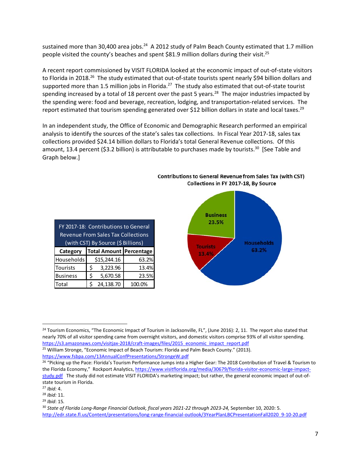sustained more than 30,400 area jobs.<sup>24</sup> A 2012 study of Palm Beach County estimated that 1.7 million people visited the county's beaches and spent \$81.9 million dollars during their visit.<sup>25</sup>

A recent report commissioned by VISIT FLORIDA looked at the economic impact of out‐of‐state visitors to Florida in 2018.<sup>26</sup> The study estimated that out-of-state tourists spent nearly \$94 billion dollars and supported more than 1.5 million jobs in Florida.<sup>27</sup> The study also estimated that out-of-state tourist spending increased by a total of 18 percent over the past 5 years.<sup>28</sup> The major industries impacted by the spending were: food and beverage, recreation, lodging, and transportation‐related services. The report estimated that tourism spending generated over \$12 billion dollars in state and local taxes.<sup>29</sup>

In an independent study, the Office of Economic and Demographic Research performed an empirical analysis to identify the sources of the state's sales tax collections. In Fiscal Year 2017‐18, sales tax collections provided \$24.14 billion dollars to Florida's total General Revenue collections. Of this amount, 13.4 percent (\$3.2 billion) is attributable to purchases made by tourists.<sup>30</sup> [See Table and Graph below.]

| FY 2017-18: Contributions to General<br><b>Revenue From Sales Tax Collections</b><br>(with CST) By Source (\$ Billions) |   |             |        |  |  |  |  |  |
|-------------------------------------------------------------------------------------------------------------------------|---|-------------|--------|--|--|--|--|--|
| Total Amount Percentage<br>Category                                                                                     |   |             |        |  |  |  |  |  |
| Households                                                                                                              |   | \$15,244.16 | 63.2%  |  |  |  |  |  |
| Tourists                                                                                                                | Ś | 3,223.96    | 13.4%  |  |  |  |  |  |
| <b>Business</b>                                                                                                         | Ś | 5,670.58    | 23.5%  |  |  |  |  |  |
| Total                                                                                                                   |   | 24,138.70   | 100.0% |  |  |  |  |  |

Collections in FY 2017-18, By Source

**Contributions to General Revenue from Sales Tax (with CST)** 



<sup>25</sup> William Stronge, "Economic Impact of Beach Tourism: Florida and Palm Beach County." (2013). https://www.fsbpa.com/13AnnualConfPresentations/StrongeW.pdf

<sup>&</sup>lt;sup>24</sup> Tourism Economics, "The Economic Impact of Tourism in Jacksonville, FL", (June 2016): 2, 11. The report also stated that nearly 70% of all visitor spending came from overnight visitors, and domestic visitors comprise 93% of all visitor spending. https://s3.amazonaws.com/visitjax-2018/craft-images/files/2015\_economic\_impact\_report.pdf

<sup>&</sup>lt;sup>26</sup> "Picking up the Pace: Florida's Tourism Performance Jumps into a Higher Gear: The 2018 Contribution of Travel & Tourism to the Florida Economy," Rockport Analytics, https://www.visitflorida.org/media/30679/florida-visitor-economic-large-impactstudy.pdf The study did not estimate VISIT FLORIDA's marketing impact; but rather, the general economic impact of out-ofstate tourism in Florida.

<sup>27</sup> *Ibid:* 4.

<sup>28</sup> *Ibid:* 11.

<sup>29</sup> *Ibid*: 15*.*

<sup>&</sup>lt;sup>30</sup> State of Florida Long-Range Financial Outlook, fiscal years 2021-22 through 2023-24, September 10, 2020: 5. http://edr.state.fl.us/Content/presentations/long‐range‐financial‐outlook/3YearPlanLBCPresentationFall2020\_9‐10‐20.pdf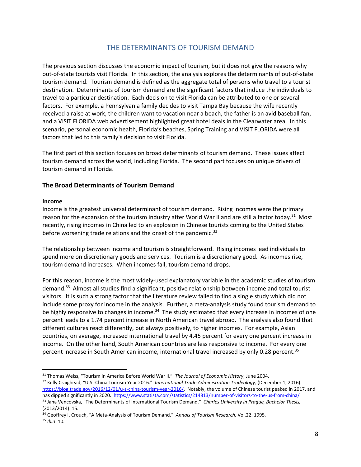## THE DETERMINANTS OF TOURISM DEMAND

The previous section discusses the economic impact of tourism, but it does not give the reasons why out‐of‐state tourists visit Florida. In this section, the analysis explores the determinants of out‐of‐state tourism demand. Tourism demand is defined as the aggregate total of persons who travel to a tourist destination. Determinants of tourism demand are the significant factors that induce the individuals to travel to a particular destination. Each decision to visit Florida can be attributed to one or several factors. For example, a Pennsylvania family decides to visit Tampa Bay because the wife recently received a raise at work, the children want to vacation near a beach, the father is an avid baseball fan, and a VISIT FLORIDA web advertisement highlighted great hotel deals in the Clearwater area. In this scenario, personal economic health, Florida's beaches, Spring Training and VISIT FLORIDA were all factors that led to this family's decision to visit Florida.

The first part of this section focuses on broad determinants of tourism demand. These issues affect tourism demand across the world, including Florida. The second part focuses on unique drivers of tourism demand in Florida.

## **The Broad Determinants of Tourism Demand**

#### **Income**

Income is the greatest universal determinant of tourism demand. Rising incomes were the primary reason for the expansion of the tourism industry after World War II and are still a factor today.<sup>31</sup> Most recently, rising incomes in China led to an explosion in Chinese tourists coming to the United States before worsening trade relations and the onset of the pandemic.<sup>32</sup>

The relationship between income and tourism is straightforward. Rising incomes lead individuals to spend more on discretionary goods and services. Tourism is a discretionary good. As incomes rise, tourism demand increases. When incomes fall, tourism demand drops.

For this reason, income is the most widely-used explanatory variable in the academic studies of tourism demand.33 Almost all studies find a significant, positive relationship between income and total tourist visitors. It is such a strong factor that the literature review failed to find a single study which did not include some proxy for income in the analysis. Further, a meta-analysis study found tourism demand to be highly responsive to changes in income.<sup>34</sup> The study estimated that every increase in incomes of one percent leads to a 1.74 percent increase in North American travel abroad. The analysis also found that different cultures react differently, but always positively, to higher incomes. For example, Asian countries, on average, increased international travel by 4.45 percent for every one percent increase in income. On the other hand, South American countries are less responsive to income. For every one percent increase in South American income, international travel increased by only 0.28 percent.<sup>35</sup>

<sup>31</sup> Thomas Weiss, "Tourism in America Before World War II." *The Journal of Economic History,* June 2004.

<sup>32</sup> Kelly Craighead, "U.S.‐China Tourism Year 2016." *International Trade Administration Tradeology,* (December 1, 2016). https://blog.trade.gov/2016/12/01/u-s-china-tourism-year-2016/. Notably, the volume of Chinese tourist peaked in 2017, and has dipped significantly in 2020. https://www.statista.com/statistics/214813/number-of-visitors-to-the-us-from-china/ <sup>33</sup> Jana Vencovska, "The Determinants of International Tourism Demand." *Charles University in Prague, Bachelor Thesis,*

<sup>(2013/2014):</sup> 15. <sup>34</sup> Geoffrey I. Crouch, "A Meta‐Analysis of Tourism Demand." *Annals of Tourism Research.* Vol.22. 1995.

<sup>35</sup> *Ibid*: 10.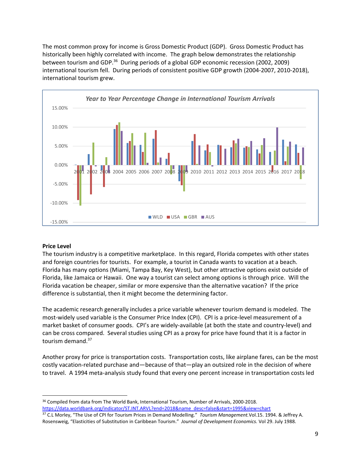The most common proxy for income is Gross Domestic Product (GDP). Gross Domestic Product has historically been highly correlated with income. The graph below demonstrates the relationship between tourism and GDP.36 During periods of a global GDP economic recession (2002, 2009) international tourism fell. During periods of consistent positive GDP growth (2004‐2007, 2010‐2018), international tourism grew.



## **Price Level**

The tourism industry is a competitive marketplace. In this regard, Florida competes with other states and foreign countries for tourists. For example, a tourist in Canada wants to vacation at a beach. Florida has many options (Miami, Tampa Bay, Key West), but other attractive options exist outside of Florida, like Jamaica or Hawaii. One way a tourist can select among options is through price. Will the Florida vacation be cheaper, similar or more expensive than the alternative vacation? If the price difference is substantial, then it might become the determining factor.

The academic research generally includes a price variable whenever tourism demand is modeled. The most-widely used variable is the Consumer Price Index (CPI). CPI is a price-level measurement of a market basket of consumer goods. CPI's are widely‐available (at both the state and country‐level) and can be cross compared. Several studies using CPI as a proxy for price have found that it is a factor in tourism demand.<sup>37</sup>

Another proxy for price is transportation costs. Transportation costs, like airplane fares, can be the most costly vacation-related purchase and—because of that—play an outsized role in the decision of where to travel. A 1994 meta-analysis study found that every one percent increase in transportation costs led

<sup>&</sup>lt;sup>36</sup> Compiled from data from The World Bank, International Tourism, Number of Arrivals, 2000-2018. https://data.worldbank.org/indicator/ST.INT.ARVL?end=2018&name\_desc=false&start=1995&view=chart

<sup>37</sup> C.L Morley, "The Use of CPI for Tourism Prices in Demand Modelling." *Tourism Management.*Vol.15. 1994. & Jeffrey A. Rosensweig, "Elasticities of Substitution in Caribbean Tourism." *Journal of Development Economics.* Vol 29. July 1988.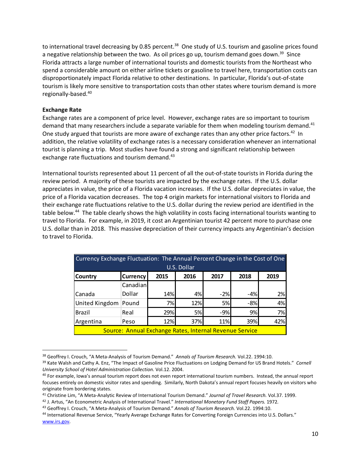to international travel decreasing by 0.85 percent.<sup>38</sup> One study of U.S. tourism and gasoline prices found a negative relationship between the two. As oil prices go up, tourism demand goes down.<sup>39</sup> Since Florida attracts a large number of international tourists and domestic tourists from the Northeast who spend a considerable amount on either airline tickets or gasoline to travel here, transportation costs can disproportionately impact Florida relative to other destinations. In particular, Florida's out‐of‐state tourism is likely more sensitive to transportation costs than other states where tourism demand is more regionally‐based.40

### **Exchange Rate**

Exchange rates are a component of price level. However, exchange rates are so important to tourism demand that many researchers include a separate variable for them when modeling tourism demand.<sup>41</sup> One study argued that tourists are more aware of exchange rates than any other price factors.<sup>42</sup> In addition, the relative volatility of exchange rates is a necessary consideration whenever an international tourist is planning a trip. Most studies have found a strong and significant relationship between exchange rate fluctuations and tourism demand.<sup>43</sup>

International tourists represented about 11 percent of all the out‐of‐state tourists in Florida during the review period. A majority of these tourists are impacted by the exchange rates. If the U.S. dollar appreciates in value, the price of a Florida vacation increases. If the U.S. dollar depreciates in value, the price of a Florida vacation decreases. The top 4 origin markets for international visitors to Florida and their exchange rate fluctuations relative to the U.S. dollar during the review period are identified in the table below.<sup>44</sup> The table clearly shows the high volatility in costs facing international tourists wanting to travel to Florida. For example, in 2019, it cost an Argentinian tourist 42 percent more to purchase one U.S. dollar than in 2018. This massive depreciation of their currency impacts any Argentinian's decision to travel to Florida.

| Currency Exchange Fluctuation: The Annual Percent Change in the Cost of One |                                                         |     |     |       |       |     |  |  |  |  |
|-----------------------------------------------------------------------------|---------------------------------------------------------|-----|-----|-------|-------|-----|--|--|--|--|
| U.S. Dollar                                                                 |                                                         |     |     |       |       |     |  |  |  |  |
| 2018<br>2017<br><b>Currency</b><br>2015<br>2016<br>2019<br> Country         |                                                         |     |     |       |       |     |  |  |  |  |
| Canadian                                                                    |                                                         |     |     |       |       |     |  |  |  |  |
| Canada                                                                      | Dollar                                                  | 14% | 4%  | $-2%$ | -4%   | 2%  |  |  |  |  |
| United Kingdom                                                              | Pound                                                   | 7%  | 12% | 5%    | $-8%$ | 4%  |  |  |  |  |
| <b>Brazil</b>                                                               | Real                                                    | 29% | 5%  | $-9%$ | 9%    | 7%l |  |  |  |  |
| 39%<br>37%<br>42%<br>12%<br>11%<br>Argentina<br>Peso                        |                                                         |     |     |       |       |     |  |  |  |  |
|                                                                             | Source: Annual Exchange Rates, Internal Revenue Service |     |     |       |       |     |  |  |  |  |

<sup>38</sup> Geoffrey I. Crouch, "A Meta‐Analysis of Tourism Demand." *Annals of Tourism Research.* Vol.22. 1994:10.

<sup>39</sup> Kate Walsh and Cathy A. Enz, "The Impact of Gasoline Price Fluctuations on Lodging Demand for US Brand Hotels." *Cornell University School of Hotel Administration Collection.* Vol.12. 2004.

<sup>&</sup>lt;sup>40</sup> For example, Iowa's annual tourism report does not even report international tourism numbers. Instead, the annual report focuses entirely on domestic visitor rates and spending. Similarly, North Dakota's annual report focuses heavily on visitors who originate from bordering states.

<sup>41</sup> Christine Lim, "A Meta‐Analytic Review of International Tourism Demand." *Journal of Travel Research.* Vol.37. 1999.

<sup>42</sup> J. Artus, "An Econometric Analysis of International Travel." *International Monetary Fund Staff Papers.* 1972*.*

<sup>43</sup> Geoffrey I. Crouch, "A Meta‐Analysis of Tourism Demand." *Annals of Tourism Research.* Vol.22. 1994:10.

<sup>44</sup> International Revenue Service, "Yearly Average Exchange Rates for Converting Foreign Currencies into U.S. Dollars." www.irs.gov.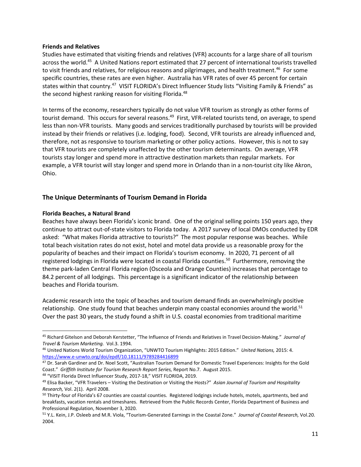#### **Friends and Relatives**

Studies have estimated that visiting friends and relatives (VFR) accounts for a large share of all tourism across the world.<sup>45</sup> A United Nations report estimated that 27 percent of international tourists travelled to visit friends and relatives, for religious reasons and pilgrimages, and health treatment.<sup>46</sup> For some specific countries, these rates are even higher. Australia has VFR rates of over 45 percent for certain states within that country.<sup>47</sup> VISIT FLORIDA's Direct Influencer Study lists "Visiting Family & Friends" as the second highest ranking reason for visiting Florida.<sup>48</sup>

In terms of the economy, researchers typically do not value VFR tourism as strongly as other forms of tourist demand. This occurs for several reasons.<sup>49</sup> First, VFR-related tourists tend, on average, to spend less than non‐VFR tourists. Many goods and services traditionally purchased by tourists will be provided instead by their friends or relatives (i.e. lodging, food). Second, VFR tourists are already influenced and, therefore, not as responsive to tourism marketing or other policy actions. However, this is not to say that VFR tourists are completely unaffected by the other tourism determinants. On average, VFR tourists stay longer and spend more in attractive destination markets than regular markets. For example, a VFR tourist will stay longer and spend more in Orlando than in a non-tourist city like Akron, Ohio.

## **The Unique Determinants of Tourism Demand in Florida**

## **Florida Beaches, a Natural Brand**

Beaches have always been Florida's iconic brand. One of the original selling points 150 years ago, they continue to attract out‐of‐state visitors to Florida today. A 2017 survey of local DMOs conducted by EDR asked: "What makes Florida attractive to tourists?" The most popular response was beaches. While total beach visitation rates do not exist, hotel and motel data provide us a reasonable proxy for the popularity of beaches and their impact on Florida's tourism economy. In 2020, 71 percent of all registered lodgings in Florida were located in coastal Florida counties.<sup>50</sup> Furthermore, removing the theme park‐laden Central Florida region (Osceola and Orange Counties) increases that percentage to 84.2 percent of all lodgings. This percentage is a significant indicator of the relationship between beaches and Florida tourism.

Academic research into the topic of beaches and tourism demand finds an overwhelmingly positive relationship. One study found that beaches underpin many coastal economies around the world.<sup>51</sup> Over the past 30 years, the study found a shift in U.S. coastal economies from traditional maritime

<sup>48</sup> "VISIT Florida Direct Influencer Study, 2017‐18," VISIT FLORIDA, 2019.

 <sup>45</sup> Richard Gitelson and Deborah Kerstetter, "The Influence of Friends and Relatives in Travel Decision‐Making." *Journal of Travel & Tourism Marketing.* Vol.3. 1994.

<sup>46</sup> United Nations World Tourism Organization, "UNWTO Tourism Highlights: 2015 Edition." *United Nations,* 2015: 4. https://www.e‐unwto.org/doi/epdf/10.18111/9789284416899

<sup>47</sup> Dr. Sarah Gardiner and Dr. Noel Scott, "Australian Tourism Demand for Domestic Travel Experiences: Insights for the Gold Coast." *Griffith Institute for Tourism Research Report Series,* Report No.7. August 2015.

<sup>49</sup> Elisa Backer, "VFR Travelers – Visiting the Destination or Visiting the Hosts?" *Asian Journal of Tourism and Hospitality Research,* Vol. 2(1). April 2008.

<sup>50</sup> Thirty-four of Florida's 67 counties are coastal counties. Registered lodgings include hotels, motels, apartments, bed and breakfasts, vacation rentals and timeshares. Retrieved from the Public Records Center, Florida Department of Business and Professional Regulation, November 3, 2020.

<sup>51</sup> Y.L. Kein, J.P. Osleeb and M.R. Viola, "Tourism‐Generated Earnings in the Coastal Zone." *Journal of Coastal Research,* Vol.20. 2004.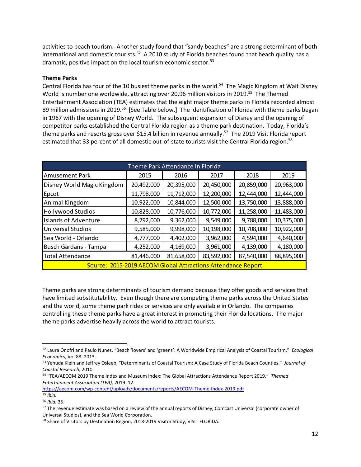activities to beach tourism. Another study found that "sandy beaches" are a strong determinant of both international and domestic tourists.<sup>52</sup> A 2010 study of Florida beaches found that beach quality has a dramatic, positive impact on the local tourism economic sector.<sup>53</sup>

#### **Theme Parks**

Central Florida has four of the 10 busiest theme parks in the world.<sup>54</sup> The Magic Kingdom at Walt Disney World is number one worldwide, attracting over 20.96 million visitors in 2019.<sup>55</sup> The Themed Entertainment Association (TEA) estimates that the eight major theme parks in Florida recorded almost 89 million admissions in 2019.<sup>56</sup> [See Table below.] The identification of Florida with theme parks began in 1967 with the opening of Disney World. The subsequent expansion of Disney and the opening of competitor parks established the Central Florida region as a theme park destination. Today, Florida's theme parks and resorts gross over \$15.4 billion in revenue annually.<sup>57</sup> The 2019 Visit Florida report estimated that 33 percent of all domestic out-of-state tourists visit the Central Florida region.<sup>58</sup>

| Theme Park Attendance in Florida                                                              |            |            |            |            |            |  |  |  |  |  |
|-----------------------------------------------------------------------------------------------|------------|------------|------------|------------|------------|--|--|--|--|--|
| 2016<br>2015<br>2017<br>2018<br>2019<br><b>Amusement Park</b>                                 |            |            |            |            |            |  |  |  |  |  |
| Disney World Magic Kingdom                                                                    | 20,492,000 | 20,395,000 | 20,450,000 | 20,859,000 | 20,963,000 |  |  |  |  |  |
| Epcot                                                                                         | 11,798,000 | 11,712,000 | 12,200,000 | 12,444,000 | 12,444,000 |  |  |  |  |  |
| Animal Kingdom                                                                                | 10,922,000 | 10,844,000 | 12,500,000 | 13,750,000 | 13,888,000 |  |  |  |  |  |
| <b>Hollywood Studios</b>                                                                      | 10,828,000 | 10,776,000 | 10,772,000 | 11,258,000 | 11,483,000 |  |  |  |  |  |
| <b>Islands of Adventure</b>                                                                   | 8,792,000  | 9,362,000  | 9,549,000  | 9,788,000  | 10,375,000 |  |  |  |  |  |
| <b>Universal Studios</b>                                                                      | 9,585,000  | 9,998,000  | 10,198,000 | 10,708,000 | 10,922,000 |  |  |  |  |  |
| Sea World - Orlando                                                                           | 4,777,000  | 4,402,000  | 3,962,000  | 4,594,000  | 4,640,000  |  |  |  |  |  |
| <b>Busch Gardans - Tampa</b>                                                                  | 4,139,000  | 4,180,000  |            |            |            |  |  |  |  |  |
| 87,540,000<br>88,895,000<br>81,658,000<br>83,592,000<br>81,446,000<br><b>Total Attendance</b> |            |            |            |            |            |  |  |  |  |  |
| Source: 2015-2019 AECOM Global Attractions Attendance Report                                  |            |            |            |            |            |  |  |  |  |  |

Theme parks are strong determinants of tourism demand because they offer goods and services that have limited substitutability. Even though there are competing theme parks across the United States and the world, some theme park rides or services are only available in Orlando. The companies controlling these theme parks have a great interest in promoting their Florida locations. The major theme parks advertise heavily across the world to attract tourists.

https://aecom.com/wp-content/uploads/documents/reports/AECOM-Theme-Index-2019.pdf <sup>55</sup> *Ibid.*

<sup>52</sup> Laura Onofri and Paulo Nunes, "Beach 'lovers' and 'greens': A Worldwide Empirical Analysis of Coastal Tourism." *Ecological Economics,* Vol.88. 2013.

<sup>53</sup> Yehuda Klein and Jeffrey Osleeb, "Determinants of Coastal Tourism: A Case Study of Florida Beach Counties." *Journal of Coastal Research,* 2010.

<sup>54</sup> "TEA/AECOM 2019 Theme Index and Museum Index: The Global Attractions Attendance Report 2019." *Themed Entertainment Association (TEA),* 2019: 12.

<sup>56</sup> *Ibid:* 35.

<sup>&</sup>lt;sup>57</sup> The revenue estimate was based on a review of the annual reports of Disney, Comcast Universal (corporate owner of Universal Studios), and the Sea World Corporation.

<sup>58</sup> Share of Visitors by Destination Region, 2018-2019 Visitor Study, VISIT FLORIDA.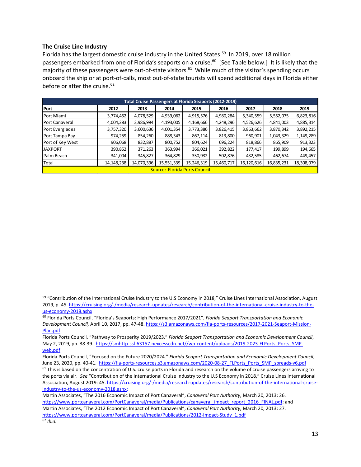#### **The Cruise Line Industry**

Florida has the largest domestic cruise industry in the United States.<sup>59</sup> In 2019, over 18 million passengers embarked from one of Florida's seaports on a cruise.<sup>60</sup> [See Table below.] It is likely that the majority of these passengers were out-of-state visitors.<sup>61</sup> While much of the visitor's spending occurs onboard the ship or at port‐of‐calls, most out‐of‐state tourists will spend additional days in Florida either before or after the cruise. $62$ 

| <b>Total Cruise Passengers at Florida Seaports (2012-2019)</b>                                                          |           |           |           |                                      |           |           |           |           |  |  |  |
|-------------------------------------------------------------------------------------------------------------------------|-----------|-----------|-----------|--------------------------------------|-----------|-----------|-----------|-----------|--|--|--|
| Port                                                                                                                    | 2012      | 2013      | 2014      | 2015                                 | 2016      | 2017      | 2018      | 2019      |  |  |  |
| Port Miami                                                                                                              | 3,774,452 | 4,078,529 | 4,939,062 | 4,915,576                            | 4,980,284 | 5,340,559 | 5,552,075 | 6,823,816 |  |  |  |
| <b>Port Canaveral</b>                                                                                                   | 4,004,283 | 3,986,994 | 4,193,005 | 4,168,666                            | 4,248,296 | 4,526,626 | 4,841,003 | 4,885,314 |  |  |  |
| Port Everglades                                                                                                         | 3,757,320 | 3,600,636 | 4,001,354 | 3,773,386                            | 3,826,415 | 3,863,662 | 3,870,342 | 3,892,215 |  |  |  |
| Port Tampa Bay                                                                                                          | 974,259   | 854,260   | 888,343   | 867,114                              | 813,800   | 960,901   | 1,043,329 | 1,149,289 |  |  |  |
| Port of Key West                                                                                                        | 906,068   | 832,887   | 800,752   | 804,624                              | 696,224   | 818,866   | 865,909   | 913,323   |  |  |  |
| <b>JAXPORT</b>                                                                                                          | 390,852   | 371,263   | 363,994   | 366,021                              | 392,822   | 177,417   | 199,899   | 194,665   |  |  |  |
| Palm Beach                                                                                                              | 341,004   | 345,827   | 364,829   | 350,932                              | 502,876   | 432,585   | 462,674   | 449,457   |  |  |  |
| 14,070,396<br>15,551,339<br>18,308,079<br>14, 148, 238<br>15,246,319<br>15,460,717<br>16,835,231<br>Total<br>16,120,616 |           |           |           |                                      |           |           |           |           |  |  |  |
|                                                                                                                         |           |           |           | <b>Source: Florida Ports Council</b> |           |           |           |           |  |  |  |

<sup>59 &</sup>quot;Contribution of the International Cruise Industry to the U.S Economy in 2018," Cruise Lines International Association, August 2019, p. 45. https://cruising.org/-/media/research-updates/research/contribution-of-the-international-cruise-industry-to-theus‐economy‐2018.ashx

<sup>60</sup> Florida Ports Council, "Florida's Seaports: High Performance 2017/2021", *Florida Seaport Transportation and Economic Development Council,* April 10, 2017, pp. 47‐48. https://s3.amazonaws.com/fla‐ports‐resources/2017‐2021‐Seaport‐Mission‐ Plan.pdf

Florida Ports Council, "Pathway to Prosperity 2019/2023." *Florida Seaport Transportation and Economic Development Council*, May 2, 2019, pp. 38-39. https://smhttp-ssl-63157.nexcesscdn.net//wp-content/uploads/2019-2023-FLPorts\_Ports\_SMPweb.pdf

Florida Ports Council, "Focused on the Future 2020/2024." *Florida Seaport Transportation and Economic Development Council*, June 23, 2020, pp. 40-41. https://fla-ports-resources.s3.amazonaws.com/2020-08-27\_FLPorts\_Ports\_SMP\_spreads-v6.pdf

 $61$  This is based on the concentration of U.S. cruise ports in Florida and research on the volume of cruise passengers arriving to the ports via air. *See* "Contribution of the International Cruise Industry to the U.S Economy in 2018," Cruise Lines International Association, August 2019: 45. https://cruising.org/-/media/research-updates/research/contribution-of-the-international-cruiseindustry-to-the-us-economy-2018.ashx;

Martin Associates, "The 2016 Economic Impact of Port Canaveral", *Canaveral Port Authority,* March 20, 2013: 26. https://www.portcanaveral.com/PortCanaveral/media/Publications/canaveral\_impact\_report\_2016\_FINAL.pdf; and Martin Associates, "The 2012 Economic Impact of Port Canaveral", *Canaveral Port Authority,* March 20, 2013: 27. https://www.portcanaveral.com/PortCanaveral/media/Publications/2012-Impact-Study\_1.pdf <sup>62</sup> *Ibid.*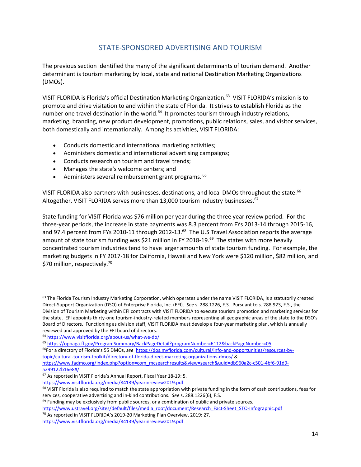# STATE‐SPONSORED ADVERTISING AND TOURISM

The previous section identified the many of the significant determinants of tourism demand. Another determinant is tourism marketing by local, state and national Destination Marketing Organizations (DMOs).

VISIT FLORIDA is Florida's official Destination Marketing Organization.<sup>63</sup> VISIT FLORIDA's mission is to promote and drive visitation to and within the state of Florida. It strives to establish Florida as the number one travel destination in the world.<sup>64</sup> It promotes tourism through industry relations, marketing, branding, new product development, promotions, public relations, sales, and visitor services, both domestically and internationally. Among its activities, VISIT FLORIDA:

- Conducts domestic and international marketing activities;
- Administers domestic and international advertising campaigns;
- Conducts research on tourism and travel trends;
- Manages the state's welcome centers; and
- Administers several reimbursement grant programs. 65

VISIT FLORIDA also partners with businesses, destinations, and local DMOs throughout the state.<sup>66</sup> Altogether, VISIT FLORIDA serves more than 13,000 tourism industry businesses.<sup>67</sup>

State funding for VISIT Florida was \$76 million per year during the three year review period. For the three‐year periods, the increase in state payments was 8.3 percent from FYs 2013‐14 through 2015‐16, and 97.4 percent from FYs 2010-11 through 2012-13.<sup>68</sup> The U.S Travel Association reports the average amount of state tourism funding was \$21 million in FY 2018-19.<sup>69</sup> The states with more heavily concentrated tourism industries tend to have larger amounts of state tourism funding. For example, the marketing budgets in FY 2017‐18 for California, Hawaii and New York were \$120 million, \$82 million, and \$70 million, respectively.<sup>70</sup>

a299122b16e8#/

<sup>63</sup> The Florida Tourism Industry Marketing Corporation, which operates under the name VISIT FLORIDA, is a statutorily created Direct‐Support Organization (DSO) of Enterprise Florida, Inc. (EFI). *See* s. 288.1226, F.S. Pursuant to s. 288.923, F.S., the Division of Tourism Marketing within EFI contracts with VISIT FLORIDA to execute tourism promotion and marketing services for the state. EFI appoints thirty-one tourism-industry-related members representing all geographic areas of the state to the DSO's Board of Directors. Functioning as division staff, VISIT FLORIDA must develop a four‐year marketing plan, which is annually reviewed and approved by the EFI board of directors.

<sup>64</sup> https://www.visitflorida.org/about‐us/what‐we‐do/

<sup>65</sup> https://oppaga.fl.gov/ProgramSummary/BackPageDetail?programNumber=6112&backPageNumber=05

<sup>66</sup>For a directory of Florida's 55 DMOs, *see* https://dos.myflorida.com/cultural/info‐and‐opportunities/resources‐by‐ topic/cultural‐tourism‐toolkit/directory‐of‐florida‐direct‐marketing‐organizations‐dmos/ & https://www.fadmo.org/index.php?option=com\_mcsearchresults&view=search&uuid=db960a2c-c501-4bf6-91d9-

<sup>67</sup> As reported in VISIT Florida's Annual Report, Fiscal Year 18‐19: 5.

https://www.visitflorida.org/media/84139/yearinreview2019.pdf

<sup>&</sup>lt;sup>68</sup> VISIT Florida is also required to match the state appropriation with private funding in the form of cash contributions, fees for services, cooperative advertising and in‐kind contributions. *See* s. 288.1226(6), F.S.

 $69$  Funding may be exclusively from public sources, or a combination of public and private sources.

https://www.ustravel.org/sites/default/files/media\_root/document/Research\_Fact-Sheet\_STO-Infographic.pdf

<sup>70</sup> As reported in VISIT FLORIDA's 2019‐20 Marketing Plan Overview, 2019: 27.

https://www.visitflorida.org/media/84139/yearinreview2019.pdf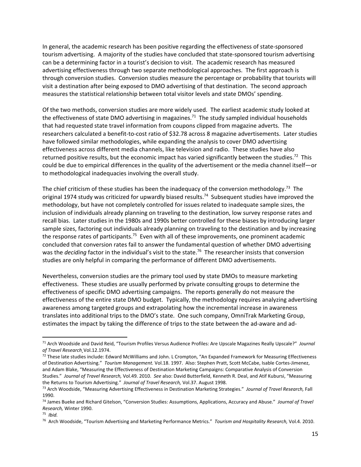In general, the academic research has been positive regarding the effectiveness of state‐sponsored tourism advertising. A majority of the studies have concluded that state‐sponsored tourism advertising can be a determining factor in a tourist's decision to visit. The academic research has measured advertising effectiveness through two separate methodological approaches. The first approach is through conversion studies. Conversion studies measure the percentage or probability that tourists will visit a destination after being exposed to DMO advertising of that destination. The second approach measures the statistical relationship between total visitor levels and state DMOs' spending.

Of the two methods, conversion studies are more widely used. The earliest academic study looked at the effectiveness of state DMO advertising in magazines.<sup>71</sup> The study sampled individual households that had requested state travel information from coupons clipped from magazine adverts. The researchers calculated a benefit‐to‐cost ratio of \$32.78 across 8 magazine advertisements. Later studies have followed similar methodologies, while expanding the analysis to cover DMO advertising effectiveness across different media channels, like television and radio. These studies have also returned positive results, but the economic impact has varied significantly between the studies.<sup>72</sup> This could be due to empirical differences in the quality of the advertisement or the media channel itself—or to methodological inadequacies involving the overall study.

The chief criticism of these studies has been the inadequacy of the conversion methodology.<sup>73</sup> The original 1974 study was criticized for upwardly biased results.<sup>74</sup> Subsequent studies have improved the methodology, but have not completely controlled for issues related to inadequate sample sizes, the inclusion of individuals already planning on traveling to the destination, low survey response rates and recall bias. Later studies in the 1980s and 1990s better controlled for these biases by introducing larger sample sizes, factoring out individuals already planning on traveling to the destination and by increasing the response rates of participants.<sup>75</sup> Even with all of these improvements, one prominent academic concluded that conversion rates fail to answer the fundamental question of whether DMO advertising was the *deciding* factor in the individual's visit to the state.<sup>76</sup> The researcher insists that conversion studies are only helpful in comparing the performance of different DMO advertisements.

Nevertheless, conversion studies are the primary tool used by state DMOs to measure marketing effectiveness. These studies are usually performed by private consulting groups to determine the effectiveness of specific DMO advertising campaigns. The reports generally do not measure the effectiveness of the entire state DMO budget. Typically, the methodology requires analyzing advertising awareness among targeted groups and extrapolating how the incremental increase in awareness translates into additional trips to the DMO's state. One such company, OmniTrak Marketing Group, estimates the impact by taking the difference of trips to the state between the ad‐aware and ad‐

<sup>71</sup> Arch Woodside and David Reid, "Tourism Profiles Versus Audience Profiles: Are Upscale Magazines Really Upscale?" *Journal of Travel Research¸*Vol.12.1974.

<sup>72</sup> These late studies include: Edward McWilliams and John. L Crompton, "An Expanded Framework for Measuring Effectiveness of Destination Advertising." *Tourism Management.* Vol.18. 1997. Also: Stephen Pratt, Scott McCabe, Isable Cortes‐Jimenez, and Adam Blake, "Measuring the Effectiveness of Destination Marketing Campaigns: Comparative Analysis of Conversion Studies." *Journal of Travel Research,* Vol.49. 2010. *See* also: David Butterfield, Kenneth R. Deal, and Atif Kubursi, "Measuring the Returns to Tourism Advertising." *Journal of Travel Research,* Vol.37. August 1998.

<sup>73</sup> Arch Woodside, "Measuring Advertising Effectiveness in Destination Marketing Strategies." *Journal of Travel Research,* Fall 1990.

<sup>74</sup> James Bueke and Richard Gitelson, "Conversion Studies: Assumptions, Applications, Accuracy and Abuse." *Journal of Travel Research,* Winter 1990.

<sup>75</sup> *Ibid.*

<sup>76</sup> Arch Woodside, "Tourism Advertising and Marketing Performance Metrics." *Tourism and Hospitality Research,* Vol.4. 2010.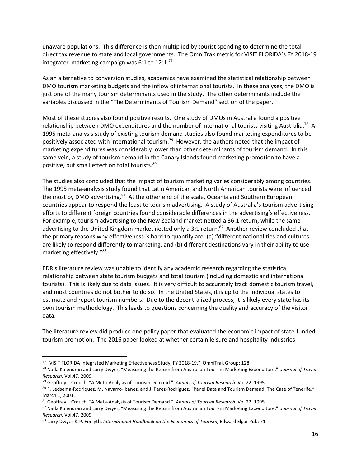unaware populations. This difference is then multiplied by tourist spending to determine the total direct tax revenue to state and local governments. The OmniTrak metric for VISIT FLORIDA's FY 2018‐19 integrated marketing campaign was 6:1 to  $12:1.^{77}$ 

As an alternative to conversion studies, academics have examined the statistical relationship between DMO tourism marketing budgets and the inflow of international tourists. In these analyses, the DMO is just one of the many tourism determinants used in the study. The other determinants include the variables discussed in the "The Determinants of Tourism Demand" section of the paper.

Most of these studies also found positive results. One study of DMOs in Australia found a positive relationship between DMO expenditures and the number of international tourists visiting Australia.<sup>78</sup> A 1995 meta‐analysis study of existing tourism demand studies also found marketing expenditures to be positively associated with international tourism.79 However, the authors noted that the impact of marketing expenditures was considerably lower than other determinants of tourism demand. In this same vein, a study of tourism demand in the Canary Islands found marketing promotion to have a positive, but small effect on total tourists.<sup>80</sup>

The studies also concluded that the impact of tourism marketing varies considerably among countries. The 1995 meta‐analysis study found that Latin American and North American tourists were influenced the most by DMO advertising.<sup>81</sup> At the other end of the scale, Oceania and Southern European countries appear to respond the least to tourism advertising. A study of Australia's tourism advertising efforts to different foreign countries found considerable differences in the advertising's effectiveness. For example, tourism advertising to the New Zealand market netted a 36:1 return, while the same advertising to the United Kingdom market netted only a 3:1 return.<sup>82</sup> Another review concluded that the primary reasons why effectiveness is hard to quantify are: (a) **"**different nationalities and cultures are likely to respond differently to marketing, and (b) different destinations vary in their ability to use marketing effectively."83

EDR's literature review was unable to identify any academic research regarding the statistical relationship between state tourism budgets and total tourism (including domestic and international tourists). This is likely due to data issues. It is very difficult to accurately track domestic tourism travel, and most countries do not bother to do so. In the United States, it is up to the individual states to estimate and report tourism numbers. Due to the decentralized process, it is likely every state has its own tourism methodology. This leads to questions concerning the quality and accuracy of the visitor data.

The literature review did produce one policy paper that evaluated the economic impact of state‐funded tourism promotion. The 2016 paper looked at whether certain leisure and hospitality industries

<sup>77</sup> "VISIT FLORIDA Integrated Marketing Effectiveness Study, FY 2018‐19." OmniTrak Group: 128.

<sup>78</sup> Nada Kulendran and Larry Dwyer, "Measuring the Return from Australian Tourism Marketing Expenditure." *Journal of Travel Research,* Vol.47. 2009.

<sup>79</sup> Geoffrey I. Crouch, "A Meta‐Analysis of Tourism Demand." *Annals of Tourism Research.* Vol.22. 1995.

<sup>80</sup> F. Ledsema-Rodriquez, M. Navarro-Ibanez, and J. Perez-Rodriguez, "Panel Data and Tourism Demand. The Case of Tenerife." March 1, 2001.

<sup>81</sup> Geoffrey I. Crouch, "A Meta‐Analysis of Tourism Demand." *Annals of Tourism Research.* Vol.22. 1995.

<sup>82</sup> Nada Kulendran and Larry Dwyer, "Measuring the Return from Australian Tourism Marketing Expenditure." *Journal of Travel Research,* Vol.47. 2009.

<sup>83</sup> Larry Dwyer & P. Forsyth, *International Handbook on the Economics of Tourism,* Edward Elgar Pub: 71.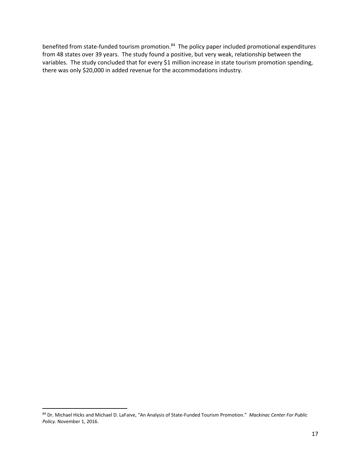benefited from state-funded tourism promotion.<sup>84</sup> The policy paper included promotional expenditures from 48 states over 39 years. The study found a positive, but very weak, relationship between the variables. The study concluded that for every \$1 million increase in state tourism promotion spending, there was only \$20,000 in added revenue for the accommodations industry.

<sup>84</sup> Dr. Michael Hicks and Michael D. LaFaive, "An Analysis of State‐Funded Tourism Promotion." *Mackinac Center For Public Policy.* November 1, 2016.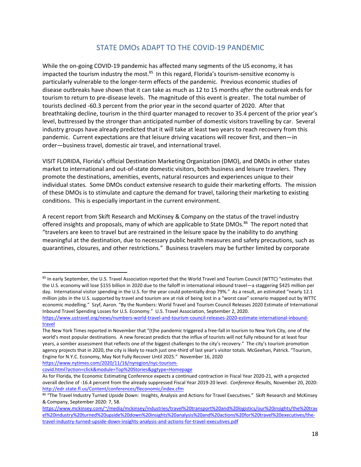# STATE DMOs ADAPT TO THE COVID‐19 PANDEMIC

While the on-going COVID-19 pandemic has affected many segments of the US economy, it has impacted the tourism industry the most.<sup>85</sup> In this regard, Florida's tourism-sensitive economy is particularly vulnerable to the longer‐term effects of the pandemic. Previous economic studies of disease outbreaks have shown that it can take as much as 12 to 15 months *after* the outbreak ends for tourism to return to pre‐disease levels. The magnitude of this event is greater. The total number of tourists declined ‐60.3 percent from the prior year in the second quarter of 2020. After that breathtaking decline, tourism in the third quarter managed to recover to 35.4 percent of the prior year's level, buttressed by the stronger than anticipated number of domestic visitors travelling by car. Several industry groups have already predicted that it will take at least two years to reach recovery from this pandemic. Current expectations are that leisure driving vacations will recover first, and then—in order—business travel, domestic air travel, and international travel.

VISIT FLORIDA, Florida's official Destination Marketing Organization (DMO), and DMOs in other states market to international and out‐of‐state domestic visitors, both business and leisure travelers. They promote the destinations, amenities, events, natural resources and experiences unique to their individual states. Some DMOs conduct extensive research to guide their marketing efforts. The mission of these DMOs is to stimulate and capture the demand for travel, tailoring their marketing to existing conditions. This is especially important in the current environment.

A recent report from Skift Research and McKinsey & Company on the status of the travel industry offered insights and proposals, many of which are applicable to State DMOs.<sup>86</sup> The report noted that "travelers are keen to travel but are restrained in the leisure space by the inability to do anything meaningful at the destination, due to necessary public health measures and safety precautions, such as quarantines, closures, and other restrictions." Business travelers may be further limited by corporate

https://www.nytimes.com/2020/11/16/nyregion/nyc-tourism-

<sup>85</sup> In early September, the U.S. Travel Association reported that the World Travel and Tourism Council (WTTC) "estimates that the U.S. economy will lose \$155 billion in 2020 due to the falloff in international inbound travel—a staggering \$425 million per day. International visitor spending in the U.S. for the year could potentially drop 79%." As a result, an estimated "nearly 12.1 million jobs in the U.S. supported by travel and tourism are at risk of being lost in a "worst case" scenario mapped out by WTTC economic modelling." Szyf, Aaron. "By the Numbers: World Travel and Tourism Council Releases 2020 Estimate of International Inbound Travel Spending Losses for U.S. Economy." U.S. Travel Association, September 2, 2020.

https://www.ustravel.org/news/numbers-world-travel-and-tourism-council-releases-2020-estimate-international-inboundtravel

The New York Times reported in November that "(t)he pandemic triggered a free‐fall in tourism to New York City, one of the world's most popular destinations. A new forecast predicts that the influx of tourists will not fully rebound for at least four years, a somber assessment that reflects one of the biggest challenges to the city's recovery." The city's tourism promotion agency projects that in 2020, the city is likely to reach just one‐third of last year's visitor totals. McGeehan, Patrick. "Tourism, Engine for N.Y.C. Economy, May Not Fully Recover Until 2025." November 16, 2020

covid.html?action=click&module=Top%20Stories&pgtype=Homepage

As for Florida, the Economic Estimating Conference expects a continued contraction in Fiscal Year 2020‐21, with a projected overall decline of ‐16.4 percent from the already suppressed Fiscal Year 2019‐20 level. *Conference Results,* November 20, 2020: http://edr.state.fl.us/Content/conferences/fleconomic/index.cfm

<sup>86 &</sup>quot;The Travel Industry Turned Upside Down: Insights, Analysis and Actions for Travel Executives." Skift Research and McKinsey & Company, September 2020: 7, 58.

https://www.mckinsey.com/~/media/mckinsey/industries/travel%20transport%20and%20logistics/our%20insights/the%20trav el%20industry%20turned%20upside%20down%20insights%20analysis%20and%20actions%20for%20travel%20executives/the‐ travel‐industry‐turned‐upside‐down‐insights‐analysis‐and‐actions‐for‐travel‐executives.pdf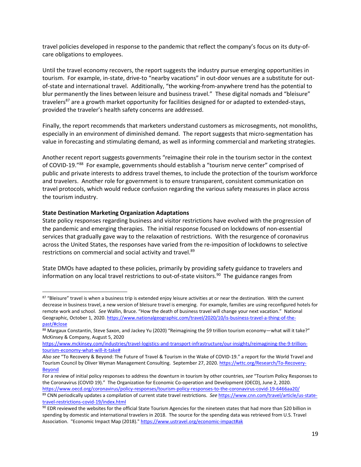travel policies developed in response to the pandemic that reflect the company's focus on its duty‐of‐ care obligations to employees.

Until the travel economy recovers, the report suggests the industry pursue emerging opportunities in tourism. For example, in‐state, drive‐to "nearby vacations" in out‐door venues are a substitute for out‐ of‐state and international travel. Additionally, "the working‐from‐anywhere trend has the potential to blur permanently the lines between leisure and business travel." These digital nomads and "bleisure" travelers<sup>87</sup> are a growth market opportunity for facilities designed for or adapted to extended-stays, provided the traveler's health safety concerns are addressed.

Finally, the report recommends that marketers understand customers as microsegments, not monoliths, especially in an environment of diminished demand. The report suggests that micro-segmentation has value in forecasting and stimulating demand, as well as informing commercial and marketing strategies.

Another recent report suggests governments "reimagine their role in the tourism sector in the context of COVID-19."88 For example, governments should establish a "tourism nerve center" comprised of public and private interests to address travel themes, to include the protection of the tourism workforce and travelers. Another role for government is to ensure transparent, consistent communication on travel protocols, which would reduce confusion regarding the various safety measures in place across the tourism industry.

#### **State Destination Marketing Organization Adaptations**

State policy responses regarding business and visitor restrictions have evolved with the progression of the pandemic and emerging therapies. The initial response focused on lockdowns of non‐essential services that gradually gave way to the relaxation of restrictions. With the resurgence of coronavirus across the United States, the responses have varied from the re‐imposition of lockdowns to selective restrictions on commercial and social activity and travel.<sup>89</sup>

State DMOs have adapted to these policies, primarily by providing safety guidance to travelers and information on any local travel restrictions to out-of-state visitors.<sup>90</sup> The guidance ranges from

<sup>87 &</sup>quot;Bleisure" travel is when a business trip is extended enjoy leisure activities at or near the destination. With the current decrease in business travel, a new version of bleisure travel is emerging. For example, families are using reconfigured hotels for remote work and school. *See* Wallin, Bruce. "How the death of business travel will change your next vacation." National Geographic, October 1, 2020. https://www.nationalgeographic.com/travel/2020/10/is-business-travel-a-thing-of-thepast/#close

<sup>88</sup> Margaux Constantin, Steve Saxon, and Jackey Yu (2020) "Reimagining the \$9 trillion tourism economy—what will it take?" McKinsey & Company, August 5, 2020

https://www.mckinsey.com/industries/travel-logistics-and-transport-infrastructure/our-insights/reimagining-the-9-trilliontourism‐economy‐what‐will‐it‐take#

*Also see* "To Recovery & Beyond: The Future of Travel & Tourism in the Wake of COVID‐19." a report for the World Travel and Tourism Council by Oliver Wyman Management Consulting. September 27, 2020. https://wttc.org/Research/To-Recovery-Beyond

For a review of initial policy responses to address the downturn in tourism by other countries, *see* "Tourism Policy Responses to the Coronavirus (COVID 19)." The Organization for Economic Co-operation and Development (OECD), June 2, 2020.

https://www.oecd.org/coronavirus/policy‐responses/tourism‐policy‐responses‐to‐the‐coronavirus‐covid‐19‐6466aa20/

<sup>89</sup> CNN periodically updates a compilation of current state travel restrictions. See https://www.cnn.com/travel/article/us-statetravel‐restrictions‐covid‐19/index.html

<sup>90</sup> EDR reviewed the websites for the official State Tourism Agencies for the nineteen states that had more than \$20 billion in spending by domestic and international travelers in 2018. The source for the spending data was retrieved from U.S. Travel Association. "Economic Impact Map (2018)." https://www.ustravel.org/economic-impact#ak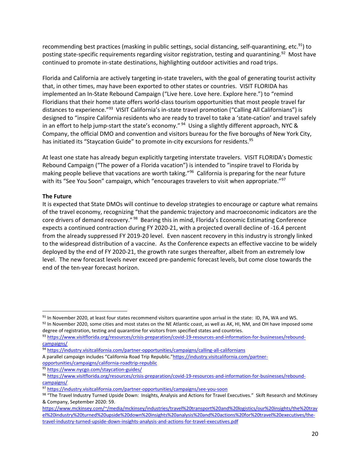recommending best practices (masking in public settings, social distancing, self-quarantining, etc.<sup>91</sup>) to posting state-specific requirements regarding visitor registration, testing and quarantining.<sup>92</sup> Most have continued to promote in‐state destinations, highlighting outdoor activities and road trips.

Florida and California are actively targeting in‐state travelers, with the goal of generating tourist activity that, in other times, may have been exported to other states or countries. VISIT FLORIDA has implemented an In-State Rebound Campaign ("Live here. Love here. Explore here.") to "remind Floridians that their home state offers world‐class tourism opportunities that most people travel far distances to experience."<sup>93</sup> VISIT California's in-state travel promotion ("Calling All Californians") is designed to "inspire California residents who are ready to travel to take a 'state-cation' and travel safely in an effort to help jump-start the state's economy." <sup>94</sup> Using a slightly different approach, NYC & Company, the official DMO and convention and visitors bureau for the five boroughs of New York City, has initiated its "Staycation Guide" to promote in-city excursions for residents.<sup>95</sup>

At least one state has already begun explicitly targeting interstate travelers. VISIT FLORIDA's Domestic Rebound Campaign ("The power of a Florida vacation") is intended to "inspire travel to Florida by making people believe that vacations are worth taking."<sup>96</sup> California is preparing for the near future with its "See You Soon" campaign, which "encourages travelers to visit when appropriate."<sup>97</sup>

## **The Future**

It is expected that State DMOs will continue to develop strategies to encourage or capture what remains of the travel economy, recognizing "that the pandemic trajectory and macroeconomic indicators are the core drivers of demand recovery." <sup>98</sup> Bearing this in mind, Florida's Economic Estimating Conference expects a continued contraction during FY 2020-21, with a projected overall decline of -16.4 percent from the already suppressed FY 2019-20 level. Even nascent recovery in this industry is strongly linked to the widespread distribution of a vaccine. As the Conference expects an effective vaccine to be widely deployed by the end of FY 2020‐21, the growth rate surges thereafter, albeit from an extremely low level. The new forecast levels never exceed pre‐pandemic forecast levels, but come close towards the end of the ten‐year forecast horizon.

  $91$  In November 2020, at least four states recommend visitors quarantine upon arrival in the state: ID, PA, WA and WS.

 $92$  In November 2020, some cities and most states on the NE Atlantic coast, as well as AK, HI, NM, and OH have imposed some degree of registration, testing and quarantine for visitors from specified states and countries.

<sup>93</sup> https://www.visitflorida.org/resources/crisis-preparation/covid-19-resources-and-information-for-businesses/reboundcampaigns/

<sup>94</sup> https://industry.visitcalifornia.com/partner-opportunities/campaigns/calling-all-californians A parallel campaign includes "California Road Trip Republic."https://industry.visitcalifornia.com/partner‐ opportunities/campaigns/california‐roadtrip‐republic

<sup>95</sup> https://www.nycgo.com/staycation-guides/

<sup>96</sup> https://www.visitflorida.org/resources/crisis-preparation/covid-19-resources-and-information-for-businesses/reboundcampaigns/

<sup>97</sup> https://industry.visitcalifornia.com/partner-opportunities/campaigns/see-you-soon

<sup>98 &</sup>quot;The Travel Industry Turned Upside Down: Insights, Analysis and Actions for Travel Executives." Skift Research and McKinsey & Company, September 2020: 59.

https://www.mckinsey.com/~/media/mckinsey/industries/travel%20transport%20and%20logistics/our%20insights/the%20trav el%20industry%20turned%20upside%20down%20insights%20analysis%20and%20actions%20for%20travel%20executives/the‐ travel‐industry‐turned‐upside‐down‐insights‐analysis‐and‐actions‐for‐travel‐executives.pdf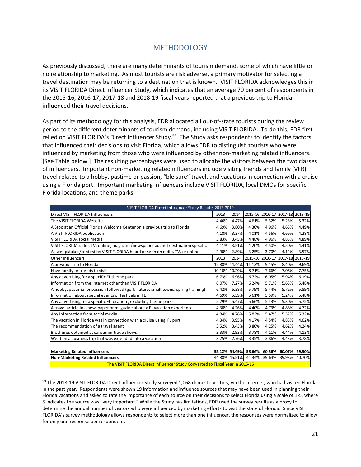# **METHODOLOGY**

As previously discussed, there are many determinants of tourism demand, some of which have little or no relationship to marketing. As most tourists are risk adverse, a primary motivator for selecting a travel destination may be returning to a destination that is known. VISIT FLORIDA acknowledges this in its VISIT FLORIDA Direct Influencer Study, which indicates that an average 70 percent of respondents in the 2015‐16, 2016‐17, 2017‐18 and 2018‐19 fiscal years reported that a previous trip to Florida influenced their travel decisions.

As part of its methodology for this analysis, EDR allocated all out‐of‐state tourists during the review period to the different determinants of tourism demand, including VISIT FLORIDA. To do this, EDR first relied on VISIT FLORIDA's Direct Influencer Study.<sup>99</sup> The Study asks respondents to identify the factors that influenced their decisions to visit Florida, which allows EDR to distinguish tourists who were influenced by marketing from those who were influenced by other non-marketing related influencers. [See Table below.] The resulting percentages were used to allocate the visitors between the two classes of influencers. Important non‐marketing related influencers include visiting friends and family (VFR); travel related to a hobby, pastime or passion, "bleisure" travel, and vacations in connection with a cruise using a Florida port. Important marketing influencers include VISIT FLORIDA, local DMOs for specific Florida locations, and theme parks.

| VISIT FLORIDA Direct Influencer Study Results 2013-2019                                           |        |               |        |        |                                 |        |
|---------------------------------------------------------------------------------------------------|--------|---------------|--------|--------|---------------------------------|--------|
| Direct VISIT FLORIDA Influencers                                                                  | 2013   | 2014          |        |        | 2015-16 2016-17 2017-18 2018-19 |        |
| The VISIT FLORIDA Website                                                                         | 4.46%  | 4.47%         | 4.61%  | 5.32%  | 5.23%                           | 5.32%  |
| A Stop at an Official Florida Welcome Center on a previous trip to Florida                        | 4.69%  | 3.80%         | 4.30%  | 4.96%  | 4.65%                           | 4.49%  |
| A VISIT FLORIDA publication                                                                       | 4.18%  | 3.37%         | 4.01%  | 4.56%  | 4.66%                           | 4.28%  |
| VISIT FLORIDA social media                                                                        | 3.83%  | 3.45%         | 4.48%  | 4.96%  | 4.83%                           | 4.89%  |
| VISIT FLORIDA radio, TV, online, magazine/newspaper ad, not destination specific                  | 4.11%  | 3.51%         | 4.20%  | 4.50%  | 4.50%                           | 4.41%  |
| A sweepstakes/contest by VISIT FLORIDA heard or seen on radio, TV, or online                      | 2.90%  | 2.89%         | 3.25%  | 3.70%  | 4.12%                           | 3.57%  |
| Other Influencers                                                                                 | 2013   | 2014          |        |        | 2015-16 2016-17 2017-18 2018-19 |        |
| A previous trip to Florida                                                                        | 12.88% | 14.44%        | 11.13% | 9.15%  | 8.40%                           | 9.69%  |
| Have family or friends to visit                                                                   |        | 10.18% 10.29% | 8.71%  | 7.66%  | 7.06%                           | 7.75%  |
| Any advertising for a specific FL theme park                                                      | 6.73%  | 6.96%         | 6.72%  | 6.05%  | 5.94%                           | 6.19%  |
| Information from the Internet other than VISIT FLORIDA                                            | 6.07%  | 7.27%         | 6.24%  | 5.71%  | 5.63%                           | 5.48%  |
| A hobby, pastime, or passion followed (golf, nature, small towns, spring training)                | 6.42%  | 6.38%         | 5.79%  | 5.44%  | 5.72%                           | 5.89%  |
| Information about special events or festivals in FL                                               | 4.69%  | 5.59%         | 5.61%  | 5.59%  | 5.24%                           | 5.48%  |
| Any advertising for a specific FL location, excluding theme parks                                 | 5.29%  | 5.47%         | 5.66%  | 5.43%  | 5.30%                           | 5.75%  |
| A travel article in a newspaper or magazine about a FL vacation experience                        | 4.30%  | 4.26%         | 4.40%  | 4.73%  | 4.88%                           | 4.72%  |
| Any information from social media                                                                 | 4.84%  | 4.78%         | 5.82%  | 5.47%  | 5.52%                           | 5.32%  |
| The vacation in Florida was in connection with a cruise using FL port                             | 4.34%  | 3.95%         | 4.17%  | 4.54%  | 4.83%                           | 4.62%  |
| The recommendation of a travel agent                                                              | 3.52%  | 3.43%         | 3.80%  | 4.25%  | 4.62%                           | 4.24%  |
| Brochures obtained at consumer trade shows                                                        | 3.33%  | 2.93%         | 3.78%  | 4.11%  | 4.44%                           | 4.13%  |
| Went on a business trip that was extended into a vacation                                         | 3.25%  | 2.76%         | 3.35%  | 3.86%  | 4.43%                           | 3.78%  |
|                                                                                                   |        |               |        |        |                                 |        |
| <b>Marketing Related Influencers</b>                                                              | 55.12% | 54.49%        | 58.66% | 60.36% | 60.07%                          | 59.30% |
| <b>Non-Marketing Related Influencers</b><br>41.34%<br>39.64%<br>44.88% 45.51%<br>39.93%<br>40.70% |        |               |        |        |                                 |        |
| The VISIT FLORIDA Direct Influencer Study Converted to Fiscal Year in 2015-16                     |        |               |        |        |                                 |        |

<sup>99</sup> The 2018-19 VISIT FLORIDA Direct Influencer Study surveyed 1,068 domestic visitors, via the internet, who had visited Florida in the past year. Respondents were shown 19 information and influence sources that may have been used in planning their Florida vacations and asked to rate the importance of each source on their decisions to select Florida using a scale of 1‐5, where 5 indicates the source was "very important." While the Study has limitations, EDR used the survey results as a proxy to determine the annual number of visitors who were influenced by marketing efforts to visit the state of Florida. Since VISIT FLORIDA's survey methodology allows respondents to select more than one influencer, the responses were normalized to allow for only one response per respondent.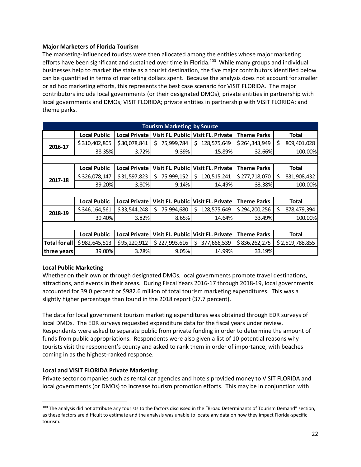## **Major Marketers of Florida Tourism**

The marketing-influenced tourists were then allocated among the entities whose major marketing efforts have been significant and sustained over time in Florida.<sup>100</sup> While many groups and individual businesses help to market the state as a tourist destination, the five major contributors identified below can be quantified in terms of marketing dollars spent. Because the analysis does not account for smaller or ad hoc marketing efforts, this represents the best case scenario for VISIT FLORIDA. The major contributors include local governments (or their designated DMOs); private entities in partnership with local governments and DMOs; VISIT FLORIDA; private entities in partnership with VISIT FLORIDA; and theme parks.

|                      | <b>Tourism Marketing by Source</b> |                      |                         |                                    |                    |                   |  |  |  |
|----------------------|------------------------------------|----------------------|-------------------------|------------------------------------|--------------------|-------------------|--|--|--|
|                      | <b>Local Public</b>                | <b>Local Private</b> |                         | Visit FL. Public Visit FL. Private | <b>Theme Parks</b> | Total             |  |  |  |
| 2016-17              | \$310,402,805                      | \$30,078,841         | 75,999,784<br>Ś.        | 128,575,649<br>Ś                   | \$264,343,949      | Ś<br>809,401,028  |  |  |  |
|                      | 38.35%                             | 3.72%                | 9.39%                   | 15.89%                             | 32.66%             | 100.00%           |  |  |  |
|                      |                                    |                      |                         |                                    |                    |                   |  |  |  |
|                      | <b>Local Public</b>                | <b>Local Private</b> | Visit FL. Public        | Visit FL. Private                  | <b>Theme Parks</b> | <b>Total</b>      |  |  |  |
| 2017-18              | \$326,078,147                      | \$31,597,823         | 75,999,152<br>Ś         | Ś<br>120,515,241                   | \$277,718,070      | Ś<br>831,908,432  |  |  |  |
|                      | 39.20%                             | 3.80%                | 9.14%                   | 14.49%                             | 33.38%             | 100.00%           |  |  |  |
|                      |                                    |                      |                         |                                    |                    |                   |  |  |  |
|                      | <b>Local Public</b>                | <b>Local Private</b> | Visit FL. Public        | Visit FL. Private                  | <b>Theme Parks</b> | <b>Total</b>      |  |  |  |
| 2018-19              | \$346,164,561                      | \$33,544,248         | 75,994,680<br>S         | 128,575,649<br>Ś                   | \$294,200,256      | Ŝ.<br>878,479,394 |  |  |  |
|                      | 39.40%                             | 3.82%                | 8.65%                   | 14.64%                             | 33.49%             | 100.00%           |  |  |  |
|                      |                                    |                      |                         |                                    |                    |                   |  |  |  |
|                      | <b>Local Public</b>                | <b>Local Private</b> | <b>Visit FL. Public</b> | Visit FL. Private                  | <b>Theme Parks</b> | Total             |  |  |  |
| <b>Total for all</b> | \$982,645,513                      | \$95,220,912         | \$227,993,616           | 377,666,539<br>Ś                   | \$836,262,275      | \$2,519,788,855   |  |  |  |
| three years          | 39.00%                             | 3.78%                | 9.05%                   | 14.99%                             | 33.19%             |                   |  |  |  |

## **Local Public Marketing**

Whether on their own or through designated DMOs, local governments promote travel destinations, attractions, and events in their areas. During Fiscal Years 2016‐17 through 2018‐19, local governments accounted for 39.0 percent or \$982.6 million of total tourism marketing expenditures. This was a slightly higher percentage than found in the 2018 report (37.7 percent).

The data for local government tourism marketing expenditures was obtained through EDR surveys of local DMOs. The EDR surveys requested expenditure data for the fiscal years under review. Respondents were asked to separate public from private funding in order to determine the amount of funds from public appropriations. Respondents were also given a list of 10 potential reasons why tourists visit the respondent's county and asked to rank them in order of importance, with beaches coming in as the highest‐ranked response.

## **Local and VISIT FLORIDA Private Marketing**

Private sector companies such as rental car agencies and hotels provided money to VISIT FLORIDA and local governments (or DMOs) to increase tourism promotion efforts. This may be in conjunction with

<sup>100</sup> The analysis did not attribute any tourists to the factors discussed in the "Broad Determinants of Tourism Demand" section, as these factors are difficult to estimate and the analysis was unable to locate any data on how they impact Florida‐specific tourism.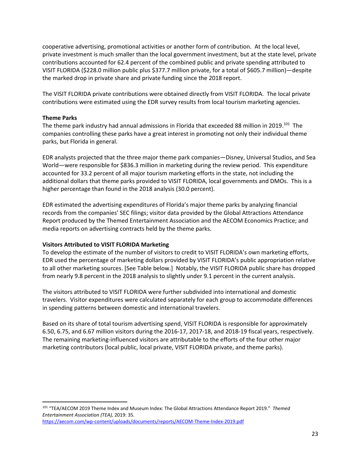cooperative advertising, promotional activities or another form of contribution. At the local level, private investment is much smaller than the local government investment, but at the state level, private contributions accounted for 62.4 percent of the combined public and private spending attributed to VISIT FLORIDA (\$228.0 million public plus \$377.7 million private, for a total of \$605.7 million)—despite the marked drop in private share and private funding since the 2018 report.

The VISIT FLORIDA private contributions were obtained directly from VISIT FLORIDA. The local private contributions were estimated using the EDR survey results from local tourism marketing agencies.

## **Theme Parks**

The theme park industry had annual admissions in Florida that exceeded 88 million in 2019.<sup>101</sup> The companies controlling these parks have a great interest in promoting not only their individual theme parks, but Florida in general.

EDR analysts projected that the three major theme park companies—Disney, Universal Studios, and Sea World—were responsible for \$836.3 million in marketing during the review period. This expenditure accounted for 33.2 percent of all major tourism marketing efforts in the state, not including the additional dollars that theme parks provided to VISIT FLORIDA, local governments and DMOs. This is a higher percentage than found in the 2018 analysis (30.0 percent).

EDR estimated the advertising expenditures of Florida's major theme parks by analyzing financial records from the companies' SEC filings; visitor data provided by the Global Attractions Attendance Report produced by the Themed Entertainment Association and the AECOM Economics Practice; and media reports on advertising contracts held by the theme parks.

## **Visitors Attributed to VISIT FLORIDA Marketing**

To develop the estimate of the number of visitors to credit to VISIT FLORIDA's own marketing efforts, EDR used the percentage of marketing dollars provided by VISIT FLORIDA's public appropriation relative to all other marketing sources. [See Table below.] Notably, the VISIT FLORIDA public share has dropped from nearly 9.8 percent in the 2018 analysis to slightly under 9.1 percent in the current analysis.

The visitors attributed to VISIT FLORIDA were further subdivided into international and domestic travelers. Visitor expenditures were calculated separately for each group to accommodate differences in spending patterns between domestic and international travelers.

Based on its share of total tourism advertising spend, VISIT FLORIDA is responsible for approximately 6.50, 6.75, and 6.67 million visitors during the 2016‐17, 2017‐18, and 2018‐19 fiscal years, respectively. The remaining marketing‐influenced visitors are attributable to the efforts of the four other major marketing contributors (local public, local private, VISIT FLORIDA private, and theme parks).

<sup>101</sup> "TEA/AECOM 2019 Theme Index and Museum Index: The Global Attractions Attendance Report 2019." *Themed Entertainment Association (TEA),* 2019: 35. https://aecom.com/wp-content/uploads/documents/reports/AECOM-Theme-Index-2019.pdf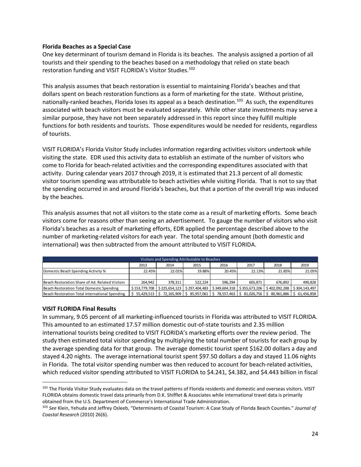#### **Florida Beaches as a Special Case**

One key determinant of tourism demand in Florida is its beaches. The analysis assigned a portion of all tourists and their spending to the beaches based on a methodology that relied on state beach restoration funding and VISIT FLORIDA's Visitor Studies.<sup>102</sup>

This analysis assumes that beach restoration is essential to maintaining Florida's beaches and that dollars spent on beach restoration functions as a form of marketing for the state. Without pristine, nationally-ranked beaches, Florida loses its appeal as a beach destination.<sup>103</sup> As such, the expenditures associated with beach visitors must be evaluated separately. While other state investments may serve a similar purpose, they have not been separately addressed in this report since they fulfill multiple functions for both residents and tourists. Those expenditures would be needed for residents, regardless of tourists.

VISIT FLORIDA's Florida Visitor Study includes information regarding activities visitors undertook while visiting the state. EDR used this activity data to establish an estimate of the number of visitors who come to Florida for beach-related activities and the corresponding expenditures associated with that activity. During calendar years 2017 through 2019, it is estimated that 21.3 percent of all domestic visitor tourism spending was attributable to beach activities while visiting Florida. That is not to say that the spending occurred in and around Florida's beaches, but that a portion of the overall trip was induced by the beaches.

This analysis assumes that not all visitors to the state come as a result of marketing efforts. Some beach visitors come for reasons other than seeing an advertisement. To gauge the number of visitors who visit Florida's beaches as a result of marketing efforts, EDR applied the percentage described above to the number of marketing-related visitors for each year. The total spending amount (both domestic and international) was then subtracted from the amount attributed to VISIT FLORIDA.

| Visitors and Spending Attributable to Beaches                                                                              |         |         |                                          |                   |               |         |                               |  |  |
|----------------------------------------------------------------------------------------------------------------------------|---------|---------|------------------------------------------|-------------------|---------------|---------|-------------------------------|--|--|
| 2016<br>2018<br>2019<br>2017<br>2013<br>2014<br>2015                                                                       |         |         |                                          |                   |               |         |                               |  |  |
| Domestic Beach Spending Activity %                                                                                         | 22.45%  | 22.01%  | 19.88%                                   | 20.45%            | 21.13%        | 21.85%  | 21.05%                        |  |  |
|                                                                                                                            |         |         |                                          |                   |               |         |                               |  |  |
| Beach Restoration Share of Ad. Related Visitors                                                                            | 264.942 | 378.311 | 522.224                                  | 596.294           | 605.871       | 676.892 | 490.828                       |  |  |
| Beach Restoration Total Domestic Spending<br>$$153,779,708$ $$225,654,123$<br>$$297,404,483$ $$349,604,318$ $$355,673,206$ |         |         |                                          |                   |               |         | $$402,092,288$ $$304,143,497$ |  |  |
| Beach Restoration Total International Spending                                                                             |         |         | 55,429,513   \$72,165,909   \$85,957,061 | $$78,557,463$ $$$ | 81,026,756 \$ |         | 80.961.886 St 61.456.858      |  |  |

## **VISIT FLORIDA Final Results**

In summary, 9.05 percent of all marketing-influenced tourists in Florida was attributed to VISIT FLORIDA. This amounted to an estimated 17.57 million domestic out‐of‐state tourists and 2.35 million international tourists being credited to VISIT FLORIDA's marketing efforts over the review period. The study then estimated total visitor spending by multiplying the total number of tourists for each group by the average spending data for that group. The average domestic tourist spent \$162.00 dollars a day and stayed 4.20 nights. The average international tourist spent \$97.50 dollars a day and stayed 11.06 nights in Florida. The total visitor spending number was then reduced to account for beach-related activities, which reduced visitor spending attributed to VISIT FLORIDA to \$4.241, \$4.382, and \$4.443 billion in fiscal

<sup>102</sup> The Florida Visitor Study evaluates data on the travel patterns of Florida residents and domestic and overseas visitors. VISIT FLORIDA obtains domestic travel data primarily from D.K. Shifflet & Associates while international travel data is primarily obtained from the U.S. Department of Commerce's International Trade Administration.

<sup>103</sup> *See* Klein, Yehuda and Jeffrey Osleeb, "Determinants of Coastal Tourism: A Case Study of Florida Beach Counties." *Journal of Coastal Research* (2010) 26(6).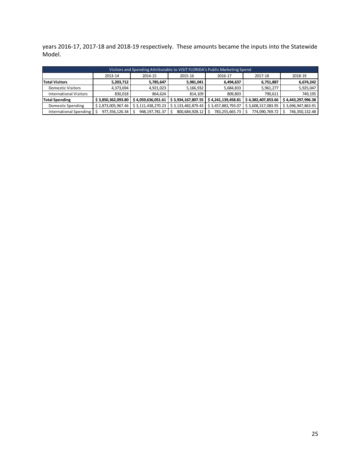years 2016‐17, 2017‐18 and 2018‐19 respectively. These amounts became the inputs into the Statewide Model.

| Visitors and Spending Attributable to VISIT FLORIDA's Public Marketing Spend |                    |                    |                    |                    |                    |                    |  |  |  |  |  |
|------------------------------------------------------------------------------|--------------------|--------------------|--------------------|--------------------|--------------------|--------------------|--|--|--|--|--|
| 2013-14<br>2018-19<br>2017-18<br>2016-17<br>2014-15<br>2015-16               |                    |                    |                    |                    |                    |                    |  |  |  |  |  |
| <b>Total Visitors</b>                                                        | 5,203,712          | 5,785,647          | 5,981,041          | 6,494,637          | 6,751,887          | 6,674,242          |  |  |  |  |  |
| <b>Domestic Visitors</b>                                                     | 4,373,694          | 4,921,023          | 5,166,932          | 5,684,833          | 5,961,277          | 5,925,047          |  |  |  |  |  |
| <b>International Visitors</b>                                                | 830.018            | 864.624            | 814.109            | 809.803            | 790.611            | 749,195            |  |  |  |  |  |
| <b>Total Spending</b>                                                        | \$3,850,362,093.80 | \$4,059,636,051.61 | \$3,934,167,807.55 | \$4,241,139,458.81 | \$4,382,407,853.66 | \$4,443,297,996.38 |  |  |  |  |  |
| Domestic Spending                                                            | \$2,873,005,967.46 | \$3,111,438,270.23 | \$3,133,482,879.43 | \$3,457,883,793.07 | \$3,608,317,083.95 | \$3,696,947,863.91 |  |  |  |  |  |
| International Spending                                                       | 977,356,126.34     | 948, 197, 781. 37  | 800,684,928.12     | 783,255,665.73     | 774,090,769.72     | 746,350,132.48     |  |  |  |  |  |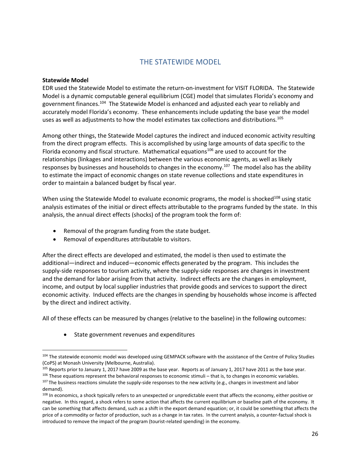# THE STATEWIDE MODEL

## **Statewide Model**

EDR used the Statewide Model to estimate the return‐on‐investment for VISIT FLORIDA. The Statewide Model is a dynamic computable general equilibrium (CGE) model that simulates Florida's economy and government finances.104 The Statewide Model is enhanced and adjusted each year to reliably and accurately model Florida's economy. These enhancements include updating the base year the model uses as well as adjustments to how the model estimates tax collections and distributions*.* 105

Among other things, the Statewide Model captures the indirect and induced economic activity resulting from the direct program effects. This is accomplished by using large amounts of data specific to the Florida economy and fiscal structure. Mathematical equations<sup>106</sup> are used to account for the relationships (linkages and interactions) between the various economic agents, as well as likely responses by businesses and households to changes in the economy.<sup>107</sup> The model also has the ability to estimate the impact of economic changes on state revenue collections and state expenditures in order to maintain a balanced budget by fiscal year.

When using the Statewide Model to evaluate economic programs, the model is shocked $108$  using static analysis estimates of the initial or direct effects attributable to the programs funded by the state. In this analysis, the annual direct effects (shocks) of the program took the form of:

- Removal of the program funding from the state budget.
- Removal of expenditures attributable to visitors.

After the direct effects are developed and estimated, the model is then used to estimate the additional—indirect and induced—economic effects generated by the program. This includes the supply-side responses to tourism activity, where the supply-side responses are changes in investment and the demand for labor arising from that activity. Indirect effects are the changes in employment, income, and output by local supplier industries that provide goods and services to support the direct economic activity. Induced effects are the changes in spending by households whose income is affected by the direct and indirect activity.

All of these effects can be measured by changes (relative to the baseline) in the following outcomes:

State government revenues and expenditures

<sup>&</sup>lt;sup>104</sup> The statewide economic model was developed using GEMPACK software with the assistance of the Centre of Policy Studies (CoPS) at Monash University (Melbourne, Australia).

<sup>105</sup> Reports prior to January 1, 2017 have 2009 as the base year. Reports as of January 1, 2017 have 2011 as the base year.

 $106$  These equations represent the behavioral responses to economic stimuli – that is, to changes in economic variables.  $107$  The business reactions simulate the supply-side responses to the new activity (e.g., changes in investment and labor demand).

<sup>&</sup>lt;sup>108</sup> In economics, a shock typically refers to an unexpected or unpredictable event that affects the economy, either positive or negative. In this regard, a shock refers to some action that affects the current equilibrium or baseline path of the economy. It can be something that affects demand, such as a shift in the export demand equation; or, it could be something that affects the price of a commodity or factor of production, such as a change in tax rates. In the current analysis, a counter-factual shock is introduced to remove the impact of the program (tourist-related spending) in the economy.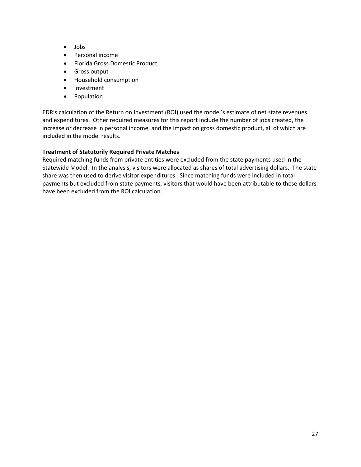- Jobs
- Personal income
- Florida Gross Domestic Product
- Gross output
- Household consumption
- Investment
- Population

EDR's calculation of the Return on Investment (ROI) used the model's estimate of net state revenues and expenditures. Other required measures for this report include the number of jobs created, the increase or decrease in personal income, and the impact on gross domestic product, all of which are included in the model results.

## **Treatment of Statutorily Required Private Matches**

Required matching funds from private entities were excluded from the state payments used in the Statewide Model. In the analysis, visitors were allocated as shares of total advertising dollars. The state share was then used to derive visitor expenditures. Since matching funds were included in total payments but excluded from state payments, visitors that would have been attributable to these dollars have been excluded from the ROI calculation.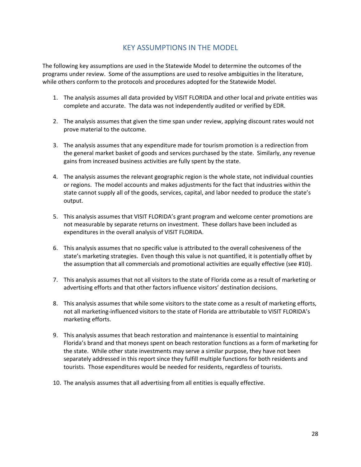# KEY ASSUMPTIONS IN THE MODEL

The following key assumptions are used in the Statewide Model to determine the outcomes of the programs under review. Some of the assumptions are used to resolve ambiguities in the literature, while others conform to the protocols and procedures adopted for the Statewide Model.

- 1. The analysis assumes all data provided by VISIT FLORIDA and other local and private entities was complete and accurate. The data was not independently audited or verified by EDR.
- 2. The analysis assumes that given the time span under review, applying discount rates would not prove material to the outcome.
- 3. The analysis assumes that any expenditure made for tourism promotion is a redirection from the general market basket of goods and services purchased by the state. Similarly, any revenue gains from increased business activities are fully spent by the state.
- 4. The analysis assumes the relevant geographic region is the whole state, not individual counties or regions. The model accounts and makes adjustments for the fact that industries within the state cannot supply all of the goods, services, capital, and labor needed to produce the state's output.
- 5. This analysis assumes that VISIT FLORIDA's grant program and welcome center promotions are not measurable by separate returns on investment. These dollars have been included as expenditures in the overall analysis of VISIT FLORIDA.
- 6. This analysis assumes that no specific value is attributed to the overall cohesiveness of the state's marketing strategies. Even though this value is not quantified, it is potentially offset by the assumption that all commercials and promotional activities are equally effective (see #10).
- 7. This analysis assumes that not all visitors to the state of Florida come as a result of marketing or advertising efforts and that other factors influence visitors' destination decisions.
- 8. This analysis assumes that while some visitors to the state come as a result of marketing efforts, not all marketing-influenced visitors to the state of Florida are attributable to VISIT FLORIDA's marketing efforts.
- 9. This analysis assumes that beach restoration and maintenance is essential to maintaining Florida's brand and that moneys spent on beach restoration functions as a form of marketing for the state. While other state investments may serve a similar purpose, they have not been separately addressed in this report since they fulfill multiple functions for both residents and tourists. Those expenditures would be needed for residents, regardless of tourists.
- 10. The analysis assumes that all advertising from all entities is equally effective.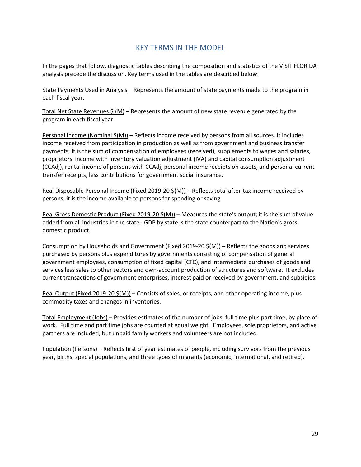# KEY TERMS IN THE MODEL

In the pages that follow, diagnostic tables describing the composition and statistics of the VISIT FLORIDA analysis precede the discussion. Key terms used in the tables are described below:

State Payments Used in Analysis – Represents the amount of state payments made to the program in each fiscal year.

Total Net State Revenues  $\zeta$  (M) – Represents the amount of new state revenue generated by the program in each fiscal year.

Personal Income (Nominal  $\frac{\xi(M)}{n}$  – Reflects income received by persons from all sources. It includes income received from participation in production as well as from government and business transfer payments. It is the sum of compensation of employees (received), supplements to wages and salaries, proprietors' income with inventory valuation adjustment (IVA) and capital consumption adjustment (CCAdj), rental income of persons with CCAdj, personal income receipts on assets, and personal current transfer receipts, less contributions for government social insurance.

Real Disposable Personal Income (Fixed 2019-20 \$(M)) – Reflects total after-tax income received by persons; it is the income available to persons for spending or saving.

Real Gross Domestic Product (Fixed 2019-20  $\frac{5}{1}$ ) – Measures the state's output; it is the sum of value added from all industries in the state. GDP by state is the state counterpart to the Nation's gross domestic product.

Consumption by Households and Government (Fixed 2019‐20 \$(M)) – Reflects the goods and services purchased by persons plus expenditures by governments consisting of compensation of general government employees, consumption of fixed capital (CFC), and intermediate purchases of goods and services less sales to other sectors and own-account production of structures and software. It excludes current transactions of government enterprises, interest paid or received by government, and subsidies.

Real Output (Fixed 2019-20  $\frac{5}{M}$ ) – Consists of sales, or receipts, and other operating income, plus commodity taxes and changes in inventories.

Total Employment (Jobs) – Provides estimates of the number of jobs, full time plus part time, by place of work. Full time and part time jobs are counted at equal weight. Employees, sole proprietors, and active partners are included, but unpaid family workers and volunteers are not included.

Population (Persons) – Reflects first of year estimates of people, including survivors from the previous year, births, special populations, and three types of migrants (economic, international, and retired).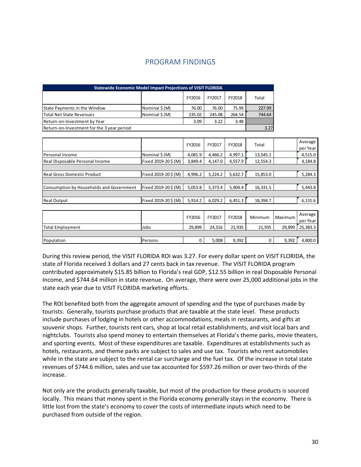| <b>Statewide Economic Model Impact Projections of VISIT FLORIDA</b> |               |        |        |        |        |  |  |  |  |
|---------------------------------------------------------------------|---------------|--------|--------|--------|--------|--|--|--|--|
|                                                                     |               | FY2016 | FY2017 | FY2018 | Total  |  |  |  |  |
| State Payments in the Window                                        | Nominal \$(M) | 76.00  | 76.00  | 75.99  | 227.99 |  |  |  |  |
| Total Net State Revenues                                            | Nominal \$(M) | 235.02 | 245.08 | 264.54 | 744.64 |  |  |  |  |
| Return-on-Investment by Year                                        |               | 3.09   | 3.22   | 3.48   |        |  |  |  |  |
| Return-on-Investment for the 3 year period                          |               |        |        |        | 3.27   |  |  |  |  |

## PROGRAM FINDINGS

|                     | FY2016  | FY2017  | FY2018  | Total    | Average<br>per Year |
|---------------------|---------|---------|---------|----------|---------------------|
| Nominal \$(M)       | 4,081.9 | 4,466.2 | 4,997.1 | 13,545.1 | 4,515.0             |
| Fixed 2019-20\$ (M) | 3,849.4 | 4,147.0 | 4,557.9 | 12,554.3 | 4,184.8             |
|                     |         |         |         |          |                     |
| Fixed 2019-20\$ (M) | 4,996.2 | 5,224.2 | 5,632.7 | 15,853.0 | 5,284.3             |
|                     |         |         |         |          |                     |
| Fixed 2019-20\$ (M) | 5,053.8 | 5,373.4 | 5,904.4 | 16,331.5 | 5,443.8             |
|                     |         |         |         |          |                     |
| Fixed 2019-20\$(M)  | 5,914.2 | 6,029.2 | 6,451.3 | 18,394.7 | 6,131.6             |
|                     |         |         |         |          |                     |

|                  |         | FY2016 | FY2017 | FY2018 | Minimum | Maximum | Average<br>per Year |
|------------------|---------|--------|--------|--------|---------|---------|---------------------|
| Total Employment | Jobs    | 29,899 | 24,316 | 21,935 | 21,935  |         | 29,899 25,383.3     |
|                  |         |        |        |        |         |         |                     |
| Population       | Persons |        | 5,008  | 9,392  |         | 9,392   | 4,800.0             |

During this review period, the VISIT FLORIDA ROI was 3.27. For every dollar spent on VISIT FLORIDA, the state of Florida received 3 dollars and 27 cents back in tax revenue. The VISIT FLORIDA program contributed approximately \$15.85 billion to Florida's real GDP, \$12.55 billion in real Disposable Personal Income, and \$744.64 million in state revenue. On average, there were over 25,000 additional jobs in the state each year due to VISIT FLORIDA marketing efforts.

The ROI benefited both from the aggregate amount of spending and the type of purchases made by tourists. Generally, tourists purchase products that are taxable at the state level. These products include purchases of lodging in hotels or other accommodations, meals in restaurants, and gifts at souvenir shops. Further, tourists rent cars, shop at local retail establishments, and visit local bars and nightclubs. Tourists also spend money to entertain themselves at Florida's theme parks, movie theaters, and sporting events. Most of these expenditures are taxable. Expenditures at establishments such as hotels, restaurants, and theme parks are subject to sales and use tax. Tourists who rent automobiles while in the state are subject to the rental car surcharge and the fuel tax. Of the increase in total state revenues of \$744.6 million, sales and use tax accounted for \$597.26 million or over two‐thirds of the increase.

Not only are the products generally taxable, but most of the production for these products is sourced locally. This means that money spent in the Florida economy generally stays in the economy. There is little lost from the state's economy to cover the costs of intermediate inputs which need to be purchased from outside of the region.